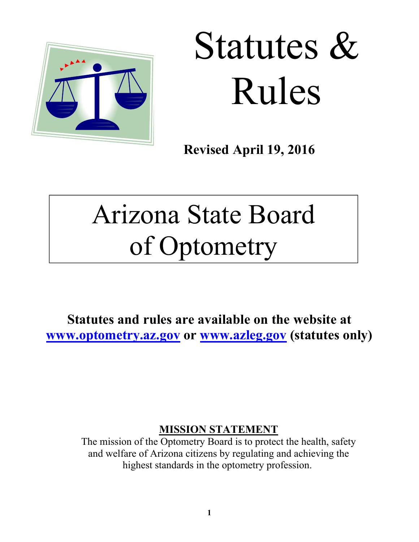

# Statutes & Rules

**Revised April 19, 2016** 

# Arizona State Board of Optometry

**Statutes and rules are available on the website at www.optometry.az.gov or www.azleg.gov (statutes only)** 

# **MISSION STATEMENT**

The mission of the Optometry Board is to protect the health, safety and welfare of Arizona citizens by regulating and achieving the highest standards in the optometry profession.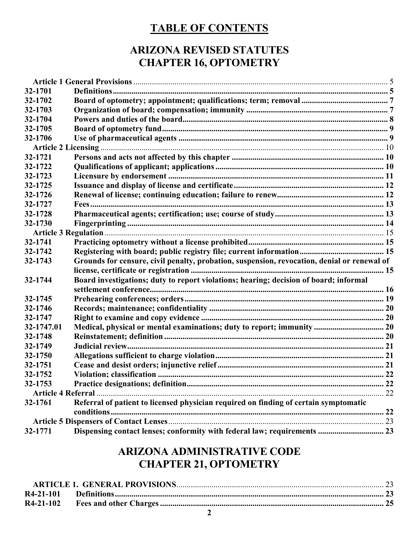# **TABLE OF CONTENTS**

# **ARIZONA REVISED STATUTES CHAPTER 16, OPTOMETRY**

| 32-1701    |                                                                                             |  |
|------------|---------------------------------------------------------------------------------------------|--|
| 32-1702    |                                                                                             |  |
| 32-1703    |                                                                                             |  |
| 32-1704    |                                                                                             |  |
| 32-1705    |                                                                                             |  |
| 32-1706    |                                                                                             |  |
|            |                                                                                             |  |
| 32-1721    |                                                                                             |  |
| 32-1722    |                                                                                             |  |
| 32-1723    |                                                                                             |  |
| 32-1725    |                                                                                             |  |
| 32-1726    |                                                                                             |  |
| 32-1727    |                                                                                             |  |
| 32-1728    |                                                                                             |  |
| 32-1730    |                                                                                             |  |
|            |                                                                                             |  |
| 32-1741    |                                                                                             |  |
| 32-1742    |                                                                                             |  |
| 32-1743    | Grounds for censure, civil penalty, probation, suspension, revocation, denial or renewal of |  |
|            |                                                                                             |  |
| 32-1744    | Board investigations; duty to report violations; hearing; decision of board; informal       |  |
|            |                                                                                             |  |
| 32-1745    |                                                                                             |  |
| 32-1746    |                                                                                             |  |
| 32-1747    |                                                                                             |  |
| 32-1747.01 |                                                                                             |  |
| 32-1748    |                                                                                             |  |
| 32-1749    |                                                                                             |  |
| 32-1750    |                                                                                             |  |
| 32-1751    |                                                                                             |  |
| 32-1752    |                                                                                             |  |
| 32-1753    |                                                                                             |  |
|            |                                                                                             |  |
| 32-1761    | Referral of patient to licensed physician required on finding of certain symptomatic        |  |
|            |                                                                                             |  |
|            |                                                                                             |  |
| 32-1771    | Dispensing contact lenses; conformity with federal law; requirements  23                    |  |

# **ARIZONA ADMINISTRATIVE CODE CHAPTER 21, OPTOMETRY**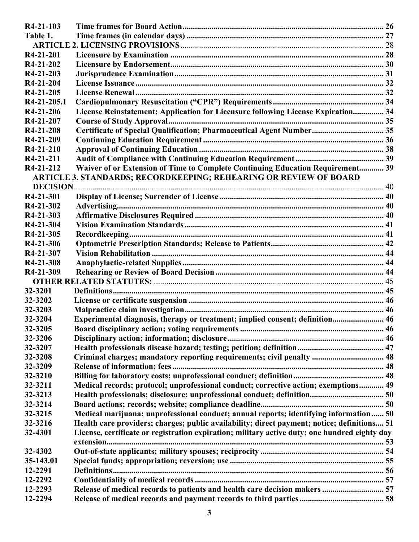| R4-21-103              |                                                                                               |  |
|------------------------|-----------------------------------------------------------------------------------------------|--|
| Table 1.               |                                                                                               |  |
|                        |                                                                                               |  |
| R <sub>4</sub> -21-201 |                                                                                               |  |
| R4-21-202              |                                                                                               |  |
| R4-21-203              |                                                                                               |  |
| R4-21-204              |                                                                                               |  |
| R4-21-205              |                                                                                               |  |
| R4-21-205.1            |                                                                                               |  |
| R4-21-206              | License Reinstatement; Application for Licensure following License Expiration 34              |  |
| R4-21-207              |                                                                                               |  |
| R4-21-208              | Certificate of Special Qualification; Pharmaceutical Agent Number 35                          |  |
| R4-21-209              |                                                                                               |  |
| R4-21-210              |                                                                                               |  |
| R4-21-211              |                                                                                               |  |
| R4-21-212              | Waiver of or Extension of Time to Complete Continuing Education Requirement 39                |  |
|                        | ARTICLE 3. STANDARDS; RECORDKEEPING; REHEARING OR REVIEW OF BOARD                             |  |
| <b>DECISION</b>        |                                                                                               |  |
| R4-21-301              |                                                                                               |  |
| R4-21-302              |                                                                                               |  |
| R4-21-303              |                                                                                               |  |
| R4-21-304              |                                                                                               |  |
| R4-21-305              |                                                                                               |  |
| R4-21-306              |                                                                                               |  |
| R4-21-307              |                                                                                               |  |
| R4-21-308              |                                                                                               |  |
| R4-21-309              |                                                                                               |  |
|                        |                                                                                               |  |
| 32-3201                |                                                                                               |  |
| 32-3202                |                                                                                               |  |
| 32-3203                |                                                                                               |  |
| 32-3204                | Experimental diagnosis, therapy or treatment; implied consent; definition 46                  |  |
| 32-3205                |                                                                                               |  |
| 32-3206                |                                                                                               |  |
| 32-3207                |                                                                                               |  |
| 32-3208                | Criminal charges; mandatory reporting requirements; civil penalty  48                         |  |
| 32-3209                |                                                                                               |  |
| 32-3210                |                                                                                               |  |
| 32-3211                | Medical records; protocol; unprofessional conduct; corrective action; exemptions 49           |  |
| 32-3213                |                                                                                               |  |
| 32-3214                |                                                                                               |  |
| 32-3215                | Medical marijuana; unprofessional conduct; annual reports; identifying information 50         |  |
| 32-3216                | Health care providers; charges; public availability; direct payment; notice; definitions 51   |  |
| 32-4301                | License, certificate or registration expiration; military active duty; one hundred eighty day |  |
|                        |                                                                                               |  |
| 32-4302                |                                                                                               |  |
| 35-143.01              |                                                                                               |  |
| 12-2291                |                                                                                               |  |
| 12-2292                |                                                                                               |  |
| 12-2293                |                                                                                               |  |
| 12-2294                |                                                                                               |  |
|                        |                                                                                               |  |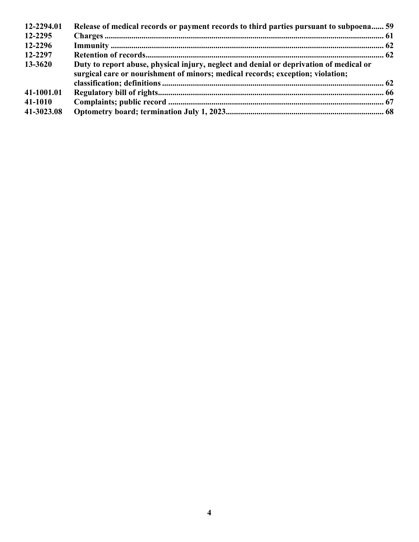| 12-2294.01 | Release of medical records or payment records to third parties pursuant to subpoena 59                                                                                   |  |
|------------|--------------------------------------------------------------------------------------------------------------------------------------------------------------------------|--|
| 12-2295    |                                                                                                                                                                          |  |
| 12-2296    |                                                                                                                                                                          |  |
| 12-2297    |                                                                                                                                                                          |  |
| 13-3620    | Duty to report abuse, physical injury, neglect and denial or deprivation of medical or<br>surgical care or nourishment of minors; medical records; exception; violation; |  |
|            |                                                                                                                                                                          |  |
| 41-1001.01 |                                                                                                                                                                          |  |
| 41-1010    |                                                                                                                                                                          |  |
| 41-3023.08 |                                                                                                                                                                          |  |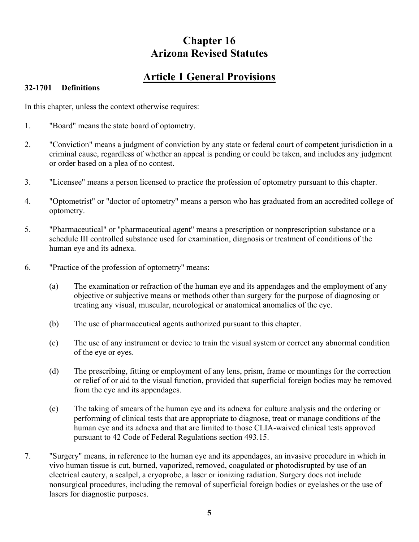# **Chapter 16 Arizona Revised Statutes**

# **Article 1 General Provisions**

#### **32-1701 Definitions**

In this chapter, unless the context otherwise requires:

- 1. "Board" means the state board of optometry.
- 2. "Conviction" means a judgment of conviction by any state or federal court of competent jurisdiction in a criminal cause, regardless of whether an appeal is pending or could be taken, and includes any judgment or order based on a plea of no contest.
- 3. "Licensee" means a person licensed to practice the profession of optometry pursuant to this chapter.
- 4. "Optometrist" or "doctor of optometry" means a person who has graduated from an accredited college of optometry.
- 5. "Pharmaceutical" or "pharmaceutical agent" means a prescription or nonprescription substance or a schedule III controlled substance used for examination, diagnosis or treatment of conditions of the human eye and its adnexa.
- 6. "Practice of the profession of optometry" means:
	- (a) The examination or refraction of the human eye and its appendages and the employment of any objective or subjective means or methods other than surgery for the purpose of diagnosing or treating any visual, muscular, neurological or anatomical anomalies of the eye.
	- (b) The use of pharmaceutical agents authorized pursuant to this chapter.
	- (c) The use of any instrument or device to train the visual system or correct any abnormal condition of the eye or eyes.
	- (d) The prescribing, fitting or employment of any lens, prism, frame or mountings for the correction or relief of or aid to the visual function, provided that superficial foreign bodies may be removed from the eye and its appendages.
	- (e) The taking of smears of the human eye and its adnexa for culture analysis and the ordering or performing of clinical tests that are appropriate to diagnose, treat or manage conditions of the human eye and its adnexa and that are limited to those CLIA-waived clinical tests approved pursuant to 42 Code of Federal Regulations section 493.15.
- 7. "Surgery" means, in reference to the human eye and its appendages, an invasive procedure in which in vivo human tissue is cut, burned, vaporized, removed, coagulated or photodisrupted by use of an electrical cautery, a scalpel, a cryoprobe, a laser or ionizing radiation. Surgery does not include nonsurgical procedures, including the removal of superficial foreign bodies or eyelashes or the use of lasers for diagnostic purposes.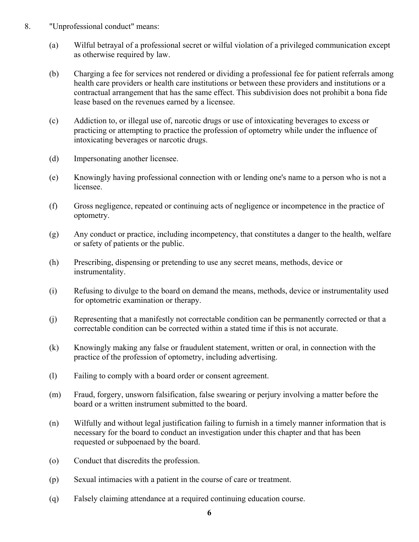- 8. "Unprofessional conduct" means:
	- (a) Wilful betrayal of a professional secret or wilful violation of a privileged communication except as otherwise required by law.
	- (b) Charging a fee for services not rendered or dividing a professional fee for patient referrals among health care providers or health care institutions or between these providers and institutions or a contractual arrangement that has the same effect. This subdivision does not prohibit a bona fide lease based on the revenues earned by a licensee.
	- (c) Addiction to, or illegal use of, narcotic drugs or use of intoxicating beverages to excess or practicing or attempting to practice the profession of optometry while under the influence of intoxicating beverages or narcotic drugs.
	- (d) Impersonating another licensee.
	- (e) Knowingly having professional connection with or lending one's name to a person who is not a licensee.
	- (f) Gross negligence, repeated or continuing acts of negligence or incompetence in the practice of optometry.
	- (g) Any conduct or practice, including incompetency, that constitutes a danger to the health, welfare or safety of patients or the public.
	- (h) Prescribing, dispensing or pretending to use any secret means, methods, device or instrumentality.
	- (i) Refusing to divulge to the board on demand the means, methods, device or instrumentality used for optometric examination or therapy.
	- (j) Representing that a manifestly not correctable condition can be permanently corrected or that a correctable condition can be corrected within a stated time if this is not accurate.
	- (k) Knowingly making any false or fraudulent statement, written or oral, in connection with the practice of the profession of optometry, including advertising.
	- (l) Failing to comply with a board order or consent agreement.
	- (m) Fraud, forgery, unsworn falsification, false swearing or perjury involving a matter before the board or a written instrument submitted to the board.
	- (n) Wilfully and without legal justification failing to furnish in a timely manner information that is necessary for the board to conduct an investigation under this chapter and that has been requested or subpoenaed by the board.
	- (o) Conduct that discredits the profession.
	- (p) Sexual intimacies with a patient in the course of care or treatment.
	- (q) Falsely claiming attendance at a required continuing education course.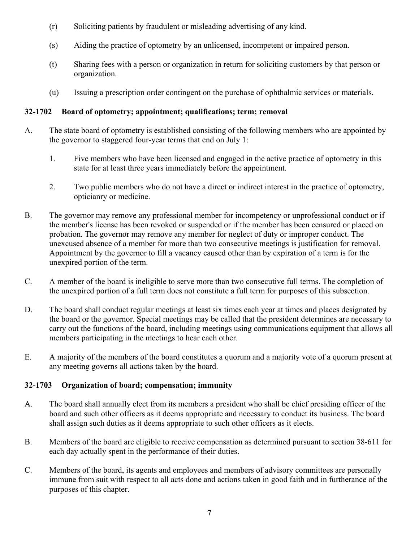- (r) Soliciting patients by fraudulent or misleading advertising of any kind.
- (s) Aiding the practice of optometry by an unlicensed, incompetent or impaired person.
- (t) Sharing fees with a person or organization in return for soliciting customers by that person or organization.
- (u) Issuing a prescription order contingent on the purchase of ophthalmic services or materials.

#### **32-1702 Board of optometry; appointment; qualifications; term; removal**

- A. The state board of optometry is established consisting of the following members who are appointed by the governor to staggered four-year terms that end on July 1:
	- 1. Five members who have been licensed and engaged in the active practice of optometry in this state for at least three years immediately before the appointment.
	- 2. Two public members who do not have a direct or indirect interest in the practice of optometry, opticianry or medicine.
- B. The governor may remove any professional member for incompetency or unprofessional conduct or if the member's license has been revoked or suspended or if the member has been censured or placed on probation. The governor may remove any member for neglect of duty or improper conduct. The unexcused absence of a member for more than two consecutive meetings is justification for removal. Appointment by the governor to fill a vacancy caused other than by expiration of a term is for the unexpired portion of the term.
- C. A member of the board is ineligible to serve more than two consecutive full terms. The completion of the unexpired portion of a full term does not constitute a full term for purposes of this subsection.
- D. The board shall conduct regular meetings at least six times each year at times and places designated by the board or the governor. Special meetings may be called that the president determines are necessary to carry out the functions of the board, including meetings using communications equipment that allows all members participating in the meetings to hear each other.
- E. A majority of the members of the board constitutes a quorum and a majority vote of a quorum present at any meeting governs all actions taken by the board.

#### **32-1703 Organization of board; compensation; immunity**

- A. The board shall annually elect from its members a president who shall be chief presiding officer of the board and such other officers as it deems appropriate and necessary to conduct its business. The board shall assign such duties as it deems appropriate to such other officers as it elects.
- B. Members of the board are eligible to receive compensation as determined pursuant to section 38-611 for each day actually spent in the performance of their duties.
- C. Members of the board, its agents and employees and members of advisory committees are personally immune from suit with respect to all acts done and actions taken in good faith and in furtherance of the purposes of this chapter.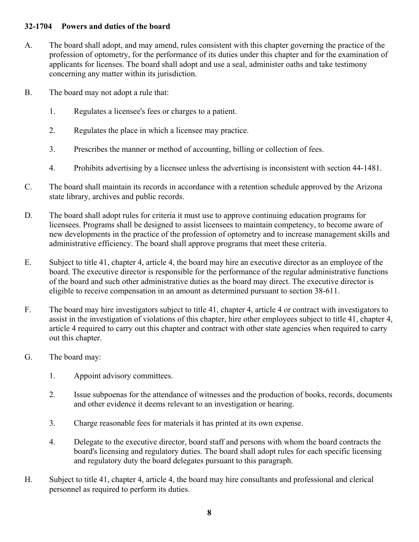#### **32-1704 Powers and duties of the board**

- A. The board shall adopt, and may amend, rules consistent with this chapter governing the practice of the profession of optometry, for the performance of its duties under this chapter and for the examination of applicants for licenses. The board shall adopt and use a seal, administer oaths and take testimony concerning any matter within its jurisdiction.
- B. The board may not adopt a rule that:
	- 1. Regulates a licensee's fees or charges to a patient.
	- 2. Regulates the place in which a licensee may practice.
	- 3. Prescribes the manner or method of accounting, billing or collection of fees.
	- 4. Prohibits advertising by a licensee unless the advertising is inconsistent with section 44-1481.
- C. The board shall maintain its records in accordance with a retention schedule approved by the Arizona state library, archives and public records.
- D. The board shall adopt rules for criteria it must use to approve continuing education programs for licensees. Programs shall be designed to assist licensees to maintain competency, to become aware of new developments in the practice of the profession of optometry and to increase management skills and administrative efficiency. The board shall approve programs that meet these criteria.
- E. Subject to title 41, chapter 4, article 4, the board may hire an executive director as an employee of the board. The executive director is responsible for the performance of the regular administrative functions of the board and such other administrative duties as the board may direct. The executive director is eligible to receive compensation in an amount as determined pursuant to section 38-611.
- F. The board may hire investigators subject to title 41, chapter 4, article 4 or contract with investigators to assist in the investigation of violations of this chapter, hire other employees subject to title 41, chapter 4, article 4 required to carry out this chapter and contract with other state agencies when required to carry out this chapter.
- G. The board may:
	- 1. Appoint advisory committees.
	- 2. Issue subpoenas for the attendance of witnesses and the production of books, records, documents and other evidence it deems relevant to an investigation or hearing.
	- 3. Charge reasonable fees for materials it has printed at its own expense.
	- 4. Delegate to the executive director, board staff and persons with whom the board contracts the board's licensing and regulatory duties. The board shall adopt rules for each specific licensing and regulatory duty the board delegates pursuant to this paragraph.
- H. Subject to title 41, chapter 4, article 4, the board may hire consultants and professional and clerical personnel as required to perform its duties.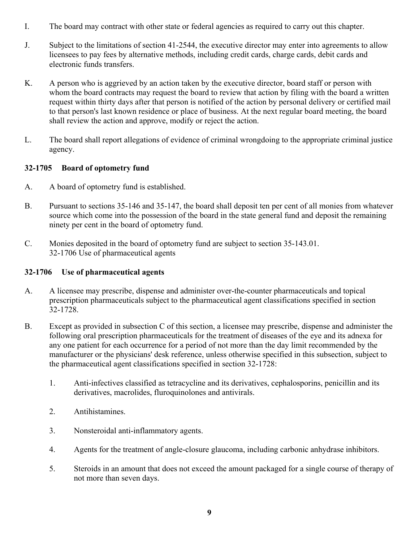- I. The board may contract with other state or federal agencies as required to carry out this chapter.
- J. Subject to the limitations of section 41-2544, the executive director may enter into agreements to allow licensees to pay fees by alternative methods, including credit cards, charge cards, debit cards and electronic funds transfers.
- K. A person who is aggrieved by an action taken by the executive director, board staff or person with whom the board contracts may request the board to review that action by filing with the board a written request within thirty days after that person is notified of the action by personal delivery or certified mail to that person's last known residence or place of business. At the next regular board meeting, the board shall review the action and approve, modify or reject the action.
- L. The board shall report allegations of evidence of criminal wrongdoing to the appropriate criminal justice agency.

#### **32-1705 Board of optometry fund**

- A. A board of optometry fund is established.
- B. Pursuant to sections 35-146 and 35-147, the board shall deposit ten per cent of all monies from whatever source which come into the possession of the board in the state general fund and deposit the remaining ninety per cent in the board of optometry fund.
- C. Monies deposited in the board of optometry fund are subject to section 35-143.01. 32-1706 Use of pharmaceutical agents

#### **32-1706 Use of pharmaceutical agents**

- A. A licensee may prescribe, dispense and administer over-the-counter pharmaceuticals and topical prescription pharmaceuticals subject to the pharmaceutical agent classifications specified in section 32-1728.
- B. Except as provided in subsection C of this section, a licensee may prescribe, dispense and administer the following oral prescription pharmaceuticals for the treatment of diseases of the eye and its adnexa for any one patient for each occurrence for a period of not more than the day limit recommended by the manufacturer or the physicians' desk reference, unless otherwise specified in this subsection, subject to the pharmaceutical agent classifications specified in section 32-1728:
	- 1. Anti-infectives classified as tetracycline and its derivatives, cephalosporins, penicillin and its derivatives, macrolides, fluroquinolones and antivirals.
	- 2. Antihistamines.
	- 3. Nonsteroidal anti-inflammatory agents.
	- 4. Agents for the treatment of angle-closure glaucoma, including carbonic anhydrase inhibitors.
	- 5. Steroids in an amount that does not exceed the amount packaged for a single course of therapy of not more than seven days.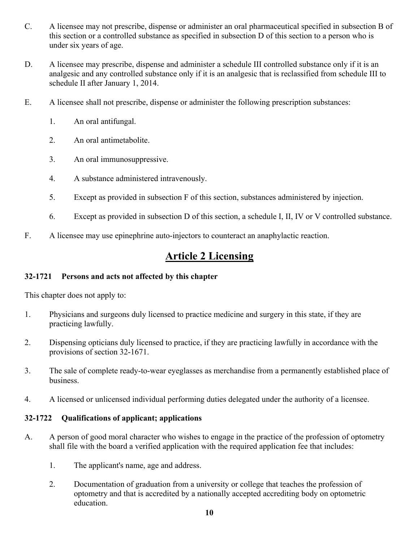- C. A licensee may not prescribe, dispense or administer an oral pharmaceutical specified in subsection B of this section or a controlled substance as specified in subsection D of this section to a person who is under six years of age.
- D. A licensee may prescribe, dispense and administer a schedule III controlled substance only if it is an analgesic and any controlled substance only if it is an analgesic that is reclassified from schedule III to schedule II after January 1, 2014.
- E. A licensee shall not prescribe, dispense or administer the following prescription substances:
	- 1. An oral antifungal.
	- 2. An oral antimetabolite.
	- 3. An oral immunosuppressive.
	- 4. A substance administered intravenously.
	- 5. Except as provided in subsection F of this section, substances administered by injection.
	- 6. Except as provided in subsection D of this section, a schedule I, II, IV or V controlled substance.
- F. A licensee may use epinephrine auto-injectors to counteract an anaphylactic reaction.

## **Article 2 Licensing**

#### **32-1721 Persons and acts not affected by this chapter**

This chapter does not apply to:

- 1. Physicians and surgeons duly licensed to practice medicine and surgery in this state, if they are practicing lawfully.
- 2. Dispensing opticians duly licensed to practice, if they are practicing lawfully in accordance with the provisions of section 32-1671.
- 3. The sale of complete ready-to-wear eyeglasses as merchandise from a permanently established place of business.
- 4. A licensed or unlicensed individual performing duties delegated under the authority of a licensee.

#### **32-1722 Qualifications of applicant; applications**

- A. A person of good moral character who wishes to engage in the practice of the profession of optometry shall file with the board a verified application with the required application fee that includes:
	- 1. The applicant's name, age and address.
	- 2. Documentation of graduation from a university or college that teaches the profession of optometry and that is accredited by a nationally accepted accrediting body on optometric education.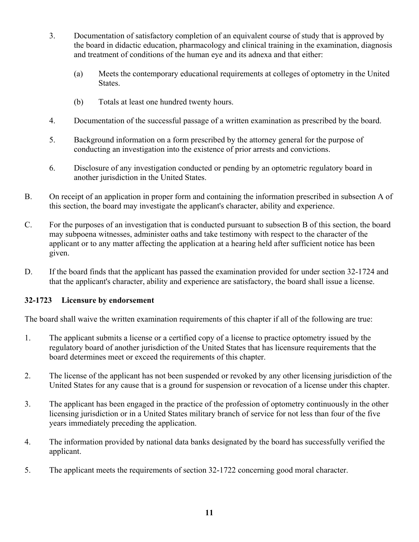- 3. Documentation of satisfactory completion of an equivalent course of study that is approved by the board in didactic education, pharmacology and clinical training in the examination, diagnosis and treatment of conditions of the human eye and its adnexa and that either:
	- (a) Meets the contemporary educational requirements at colleges of optometry in the United States.
	- (b) Totals at least one hundred twenty hours.
- 4. Documentation of the successful passage of a written examination as prescribed by the board.
- 5. Background information on a form prescribed by the attorney general for the purpose of conducting an investigation into the existence of prior arrests and convictions.
- 6. Disclosure of any investigation conducted or pending by an optometric regulatory board in another jurisdiction in the United States.
- B. On receipt of an application in proper form and containing the information prescribed in subsection A of this section, the board may investigate the applicant's character, ability and experience.
- C. For the purposes of an investigation that is conducted pursuant to subsection B of this section, the board may subpoena witnesses, administer oaths and take testimony with respect to the character of the applicant or to any matter affecting the application at a hearing held after sufficient notice has been given.
- D. If the board finds that the applicant has passed the examination provided for under section 32-1724 and that the applicant's character, ability and experience are satisfactory, the board shall issue a license.

#### **32-1723 Licensure by endorsement**

The board shall waive the written examination requirements of this chapter if all of the following are true:

- 1. The applicant submits a license or a certified copy of a license to practice optometry issued by the regulatory board of another jurisdiction of the United States that has licensure requirements that the board determines meet or exceed the requirements of this chapter.
- 2. The license of the applicant has not been suspended or revoked by any other licensing jurisdiction of the United States for any cause that is a ground for suspension or revocation of a license under this chapter.
- 3. The applicant has been engaged in the practice of the profession of optometry continuously in the other licensing jurisdiction or in a United States military branch of service for not less than four of the five years immediately preceding the application.
- 4. The information provided by national data banks designated by the board has successfully verified the applicant.
- 5. The applicant meets the requirements of section 32-1722 concerning good moral character.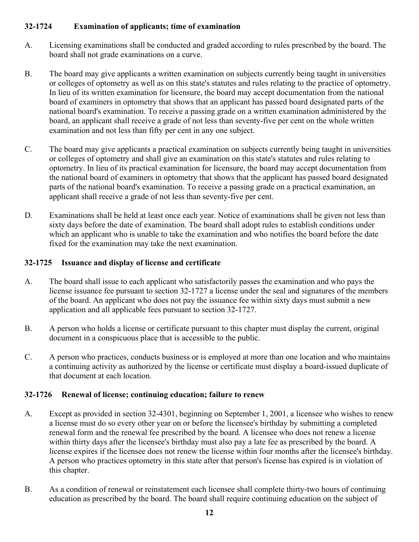#### **32-1724 Examination of applicants; time of examination**

- A. Licensing examinations shall be conducted and graded according to rules prescribed by the board. The board shall not grade examinations on a curve.
- B. The board may give applicants a written examination on subjects currently being taught in universities or colleges of optometry as well as on this state's statutes and rules relating to the practice of optometry. In lieu of its written examination for licensure, the board may accept documentation from the national board of examiners in optometry that shows that an applicant has passed board designated parts of the national board's examination. To receive a passing grade on a written examination administered by the board, an applicant shall receive a grade of not less than seventy-five per cent on the whole written examination and not less than fifty per cent in any one subject.
- C. The board may give applicants a practical examination on subjects currently being taught in universities or colleges of optometry and shall give an examination on this state's statutes and rules relating to optometry. In lieu of its practical examination for licensure, the board may accept documentation from the national board of examiners in optometry that shows that the applicant has passed board designated parts of the national board's examination. To receive a passing grade on a practical examination, an applicant shall receive a grade of not less than seventy-five per cent.
- D. Examinations shall be held at least once each year. Notice of examinations shall be given not less than sixty days before the date of examination. The board shall adopt rules to establish conditions under which an applicant who is unable to take the examination and who notifies the board before the date fixed for the examination may take the next examination.

#### **32-1725 Issuance and display of license and certificate**

- A. The board shall issue to each applicant who satisfactorily passes the examination and who pays the license issuance fee pursuant to section 32-1727 a license under the seal and signatures of the members of the board. An applicant who does not pay the issuance fee within sixty days must submit a new application and all applicable fees pursuant to section 32-1727.
- B. A person who holds a license or certificate pursuant to this chapter must display the current, original document in a conspicuous place that is accessible to the public.
- C. A person who practices, conducts business or is employed at more than one location and who maintains a continuing activity as authorized by the license or certificate must display a board-issued duplicate of that document at each location.

#### **32-1726 Renewal of license; continuing education; failure to renew**

- A. Except as provided in section 32-4301, beginning on September 1, 2001, a licensee who wishes to renew a license must do so every other year on or before the licensee's birthday by submitting a completed renewal form and the renewal fee prescribed by the board. A licensee who does not renew a license within thirty days after the licensee's birthday must also pay a late fee as prescribed by the board. A license expires if the licensee does not renew the license within four months after the licensee's birthday. A person who practices optometry in this state after that person's license has expired is in violation of this chapter.
- B. As a condition of renewal or reinstatement each licensee shall complete thirty-two hours of continuing education as prescribed by the board. The board shall require continuing education on the subject of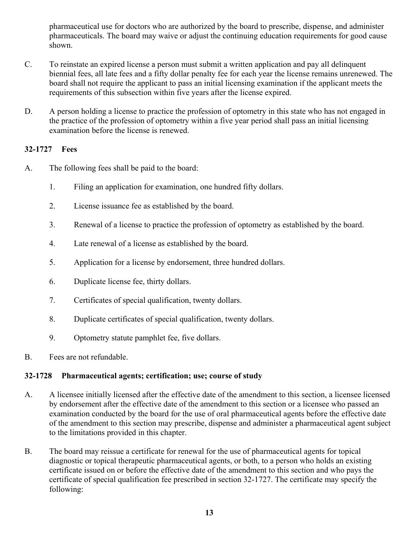pharmaceutical use for doctors who are authorized by the board to prescribe, dispense, and administer pharmaceuticals. The board may waive or adjust the continuing education requirements for good cause shown.

- C. To reinstate an expired license a person must submit a written application and pay all delinquent biennial fees, all late fees and a fifty dollar penalty fee for each year the license remains unrenewed. The board shall not require the applicant to pass an initial licensing examination if the applicant meets the requirements of this subsection within five years after the license expired.
- D. A person holding a license to practice the profession of optometry in this state who has not engaged in the practice of the profession of optometry within a five year period shall pass an initial licensing examination before the license is renewed.

#### **32-1727 Fees**

- A. The following fees shall be paid to the board:
	- 1. Filing an application for examination, one hundred fifty dollars.
	- 2. License issuance fee as established by the board.
	- 3. Renewal of a license to practice the profession of optometry as established by the board.
	- 4. Late renewal of a license as established by the board.
	- 5. Application for a license by endorsement, three hundred dollars.
	- 6. Duplicate license fee, thirty dollars.
	- 7. Certificates of special qualification, twenty dollars.
	- 8. Duplicate certificates of special qualification, twenty dollars.
	- 9. Optometry statute pamphlet fee, five dollars.
- B. Fees are not refundable.

#### **32-1728 Pharmaceutical agents; certification; use; course of study**

- A. A licensee initially licensed after the effective date of the amendment to this section, a licensee licensed by endorsement after the effective date of the amendment to this section or a licensee who passed an examination conducted by the board for the use of oral pharmaceutical agents before the effective date of the amendment to this section may prescribe, dispense and administer a pharmaceutical agent subject to the limitations provided in this chapter.
- B. The board may reissue a certificate for renewal for the use of pharmaceutical agents for topical diagnostic or topical therapeutic pharmaceutical agents, or both, to a person who holds an existing certificate issued on or before the effective date of the amendment to this section and who pays the certificate of special qualification fee prescribed in section 32-1727. The certificate may specify the following: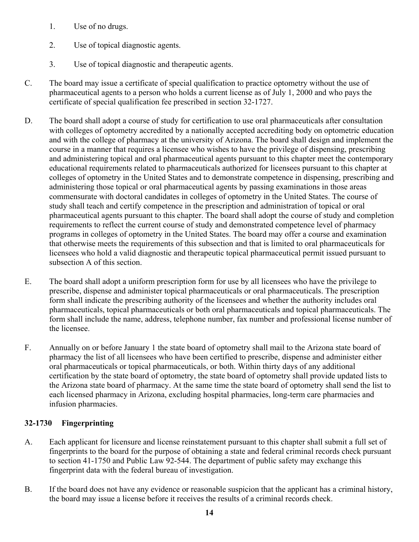- 1. Use of no drugs.
- 2. Use of topical diagnostic agents.
- 3. Use of topical diagnostic and therapeutic agents.
- C. The board may issue a certificate of special qualification to practice optometry without the use of pharmaceutical agents to a person who holds a current license as of July 1, 2000 and who pays the certificate of special qualification fee prescribed in section 32-1727.
- D. The board shall adopt a course of study for certification to use oral pharmaceuticals after consultation with colleges of optometry accredited by a nationally accepted accrediting body on optometric education and with the college of pharmacy at the university of Arizona. The board shall design and implement the course in a manner that requires a licensee who wishes to have the privilege of dispensing, prescribing and administering topical and oral pharmaceutical agents pursuant to this chapter meet the contemporary educational requirements related to pharmaceuticals authorized for licensees pursuant to this chapter at colleges of optometry in the United States and to demonstrate competence in dispensing, prescribing and administering those topical or oral pharmaceutical agents by passing examinations in those areas commensurate with doctoral candidates in colleges of optometry in the United States. The course of study shall teach and certify competence in the prescription and administration of topical or oral pharmaceutical agents pursuant to this chapter. The board shall adopt the course of study and completion requirements to reflect the current course of study and demonstrated competence level of pharmacy programs in colleges of optometry in the United States. The board may offer a course and examination that otherwise meets the requirements of this subsection and that is limited to oral pharmaceuticals for licensees who hold a valid diagnostic and therapeutic topical pharmaceutical permit issued pursuant to subsection A of this section.
- E. The board shall adopt a uniform prescription form for use by all licensees who have the privilege to prescribe, dispense and administer topical pharmaceuticals or oral pharmaceuticals. The prescription form shall indicate the prescribing authority of the licensees and whether the authority includes oral pharmaceuticals, topical pharmaceuticals or both oral pharmaceuticals and topical pharmaceuticals. The form shall include the name, address, telephone number, fax number and professional license number of the licensee.
- F. Annually on or before January 1 the state board of optometry shall mail to the Arizona state board of pharmacy the list of all licensees who have been certified to prescribe, dispense and administer either oral pharmaceuticals or topical pharmaceuticals, or both. Within thirty days of any additional certification by the state board of optometry, the state board of optometry shall provide updated lists to the Arizona state board of pharmacy. At the same time the state board of optometry shall send the list to each licensed pharmacy in Arizona, excluding hospital pharmacies, long-term care pharmacies and infusion pharmacies.

#### **32-1730 Fingerprinting**

- A. Each applicant for licensure and license reinstatement pursuant to this chapter shall submit a full set of fingerprints to the board for the purpose of obtaining a state and federal criminal records check pursuant to section 41-1750 and Public Law 92-544. The department of public safety may exchange this fingerprint data with the federal bureau of investigation.
- B. If the board does not have any evidence or reasonable suspicion that the applicant has a criminal history, the board may issue a license before it receives the results of a criminal records check.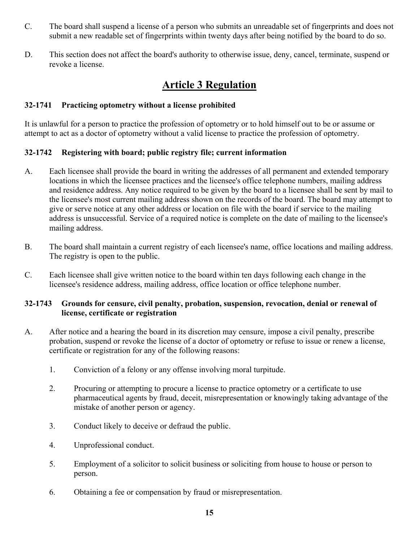- C. The board shall suspend a license of a person who submits an unreadable set of fingerprints and does not submit a new readable set of fingerprints within twenty days after being notified by the board to do so.
- D. This section does not affect the board's authority to otherwise issue, deny, cancel, terminate, suspend or revoke a license.

# **Article 3 Regulation**

#### **32-1741 Practicing optometry without a license prohibited**

It is unlawful for a person to practice the profession of optometry or to hold himself out to be or assume or attempt to act as a doctor of optometry without a valid license to practice the profession of optometry.

#### **32-1742 Registering with board; public registry file; current information**

- A. Each licensee shall provide the board in writing the addresses of all permanent and extended temporary locations in which the licensee practices and the licensee's office telephone numbers, mailing address and residence address. Any notice required to be given by the board to a licensee shall be sent by mail to the licensee's most current mailing address shown on the records of the board. The board may attempt to give or serve notice at any other address or location on file with the board if service to the mailing address is unsuccessful. Service of a required notice is complete on the date of mailing to the licensee's mailing address.
- B. The board shall maintain a current registry of each licensee's name, office locations and mailing address. The registry is open to the public.
- C. Each licensee shall give written notice to the board within ten days following each change in the licensee's residence address, mailing address, office location or office telephone number.

#### **32-1743 Grounds for censure, civil penalty, probation, suspension, revocation, denial or renewal of license, certificate or registration**

- A. After notice and a hearing the board in its discretion may censure, impose a civil penalty, prescribe probation, suspend or revoke the license of a doctor of optometry or refuse to issue or renew a license, certificate or registration for any of the following reasons:
	- 1. Conviction of a felony or any offense involving moral turpitude.
	- 2. Procuring or attempting to procure a license to practice optometry or a certificate to use pharmaceutical agents by fraud, deceit, misrepresentation or knowingly taking advantage of the mistake of another person or agency.
	- 3. Conduct likely to deceive or defraud the public.
	- 4. Unprofessional conduct.
	- 5. Employment of a solicitor to solicit business or soliciting from house to house or person to person.
	- 6. Obtaining a fee or compensation by fraud or misrepresentation.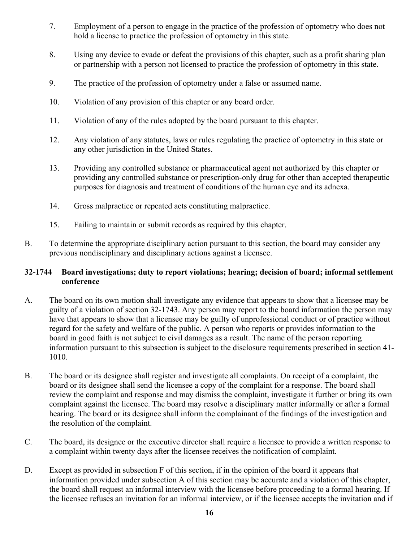- 7. Employment of a person to engage in the practice of the profession of optometry who does not hold a license to practice the profession of optometry in this state.
- 8. Using any device to evade or defeat the provisions of this chapter, such as a profit sharing plan or partnership with a person not licensed to practice the profession of optometry in this state.
- 9. The practice of the profession of optometry under a false or assumed name.
- 10. Violation of any provision of this chapter or any board order.
- 11. Violation of any of the rules adopted by the board pursuant to this chapter.
- 12. Any violation of any statutes, laws or rules regulating the practice of optometry in this state or any other jurisdiction in the United States.
- 13. Providing any controlled substance or pharmaceutical agent not authorized by this chapter or providing any controlled substance or prescription-only drug for other than accepted therapeutic purposes for diagnosis and treatment of conditions of the human eye and its adnexa.
- 14. Gross malpractice or repeated acts constituting malpractice.
- 15. Failing to maintain or submit records as required by this chapter.
- B. To determine the appropriate disciplinary action pursuant to this section, the board may consider any previous nondisciplinary and disciplinary actions against a licensee.

#### **32-1744 Board investigations; duty to report violations; hearing; decision of board; informal settlement conference**

- A. The board on its own motion shall investigate any evidence that appears to show that a licensee may be guilty of a violation of section 32-1743. Any person may report to the board information the person may have that appears to show that a licensee may be guilty of unprofessional conduct or of practice without regard for the safety and welfare of the public. A person who reports or provides information to the board in good faith is not subject to civil damages as a result. The name of the person reporting information pursuant to this subsection is subject to the disclosure requirements prescribed in section 41- 1010.
- B. The board or its designee shall register and investigate all complaints. On receipt of a complaint, the board or its designee shall send the licensee a copy of the complaint for a response. The board shall review the complaint and response and may dismiss the complaint, investigate it further or bring its own complaint against the licensee. The board may resolve a disciplinary matter informally or after a formal hearing. The board or its designee shall inform the complainant of the findings of the investigation and the resolution of the complaint.
- C. The board, its designee or the executive director shall require a licensee to provide a written response to a complaint within twenty days after the licensee receives the notification of complaint.
- D. Except as provided in subsection F of this section, if in the opinion of the board it appears that information provided under subsection A of this section may be accurate and a violation of this chapter, the board shall request an informal interview with the licensee before proceeding to a formal hearing. If the licensee refuses an invitation for an informal interview, or if the licensee accepts the invitation and if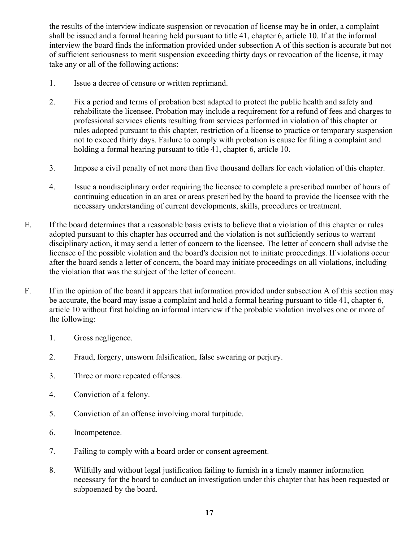the results of the interview indicate suspension or revocation of license may be in order, a complaint shall be issued and a formal hearing held pursuant to title 41, chapter 6, article 10. If at the informal interview the board finds the information provided under subsection A of this section is accurate but not of sufficient seriousness to merit suspension exceeding thirty days or revocation of the license, it may take any or all of the following actions:

- 1. Issue a decree of censure or written reprimand.
- 2. Fix a period and terms of probation best adapted to protect the public health and safety and rehabilitate the licensee. Probation may include a requirement for a refund of fees and charges to professional services clients resulting from services performed in violation of this chapter or rules adopted pursuant to this chapter, restriction of a license to practice or temporary suspension not to exceed thirty days. Failure to comply with probation is cause for filing a complaint and holding a formal hearing pursuant to title 41, chapter 6, article 10.
- 3. Impose a civil penalty of not more than five thousand dollars for each violation of this chapter.
- 4. Issue a nondisciplinary order requiring the licensee to complete a prescribed number of hours of continuing education in an area or areas prescribed by the board to provide the licensee with the necessary understanding of current developments, skills, procedures or treatment.
- E. If the board determines that a reasonable basis exists to believe that a violation of this chapter or rules adopted pursuant to this chapter has occurred and the violation is not sufficiently serious to warrant disciplinary action, it may send a letter of concern to the licensee. The letter of concern shall advise the licensee of the possible violation and the board's decision not to initiate proceedings. If violations occur after the board sends a letter of concern, the board may initiate proceedings on all violations, including the violation that was the subject of the letter of concern.
- F. If in the opinion of the board it appears that information provided under subsection A of this section may be accurate, the board may issue a complaint and hold a formal hearing pursuant to title 41, chapter 6, article 10 without first holding an informal interview if the probable violation involves one or more of the following:
	- 1. Gross negligence.
	- 2. Fraud, forgery, unsworn falsification, false swearing or perjury.
	- 3. Three or more repeated offenses.
	- 4. Conviction of a felony.
	- 5. Conviction of an offense involving moral turpitude.
	- 6. Incompetence.
	- 7. Failing to comply with a board order or consent agreement.
	- 8. Wilfully and without legal justification failing to furnish in a timely manner information necessary for the board to conduct an investigation under this chapter that has been requested or subpoenaed by the board.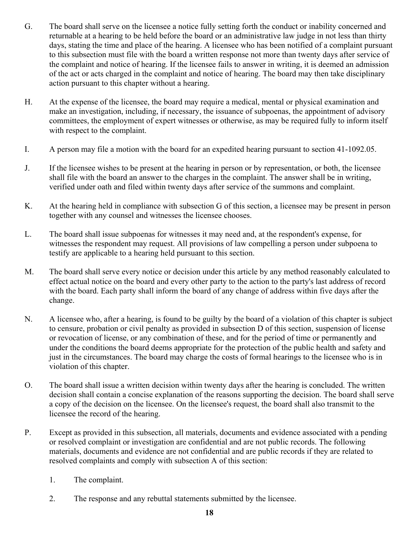- G. The board shall serve on the licensee a notice fully setting forth the conduct or inability concerned and returnable at a hearing to be held before the board or an administrative law judge in not less than thirty days, stating the time and place of the hearing. A licensee who has been notified of a complaint pursuant to this subsection must file with the board a written response not more than twenty days after service of the complaint and notice of hearing. If the licensee fails to answer in writing, it is deemed an admission of the act or acts charged in the complaint and notice of hearing. The board may then take disciplinary action pursuant to this chapter without a hearing.
- H. At the expense of the licensee, the board may require a medical, mental or physical examination and make an investigation, including, if necessary, the issuance of subpoenas, the appointment of advisory committees, the employment of expert witnesses or otherwise, as may be required fully to inform itself with respect to the complaint.
- I. A person may file a motion with the board for an expedited hearing pursuant to section 41-1092.05.
- J. If the licensee wishes to be present at the hearing in person or by representation, or both, the licensee shall file with the board an answer to the charges in the complaint. The answer shall be in writing, verified under oath and filed within twenty days after service of the summons and complaint.
- K. At the hearing held in compliance with subsection G of this section, a licensee may be present in person together with any counsel and witnesses the licensee chooses.
- L. The board shall issue subpoenas for witnesses it may need and, at the respondent's expense, for witnesses the respondent may request. All provisions of law compelling a person under subpoena to testify are applicable to a hearing held pursuant to this section.
- M. The board shall serve every notice or decision under this article by any method reasonably calculated to effect actual notice on the board and every other party to the action to the party's last address of record with the board. Each party shall inform the board of any change of address within five days after the change.
- N. A licensee who, after a hearing, is found to be guilty by the board of a violation of this chapter is subject to censure, probation or civil penalty as provided in subsection D of this section, suspension of license or revocation of license, or any combination of these, and for the period of time or permanently and under the conditions the board deems appropriate for the protection of the public health and safety and just in the circumstances. The board may charge the costs of formal hearings to the licensee who is in violation of this chapter.
- O. The board shall issue a written decision within twenty days after the hearing is concluded. The written decision shall contain a concise explanation of the reasons supporting the decision. The board shall serve a copy of the decision on the licensee. On the licensee's request, the board shall also transmit to the licensee the record of the hearing.
- P. Except as provided in this subsection, all materials, documents and evidence associated with a pending or resolved complaint or investigation are confidential and are not public records. The following materials, documents and evidence are not confidential and are public records if they are related to resolved complaints and comply with subsection A of this section:
	- 1. The complaint.
	- 2. The response and any rebuttal statements submitted by the licensee.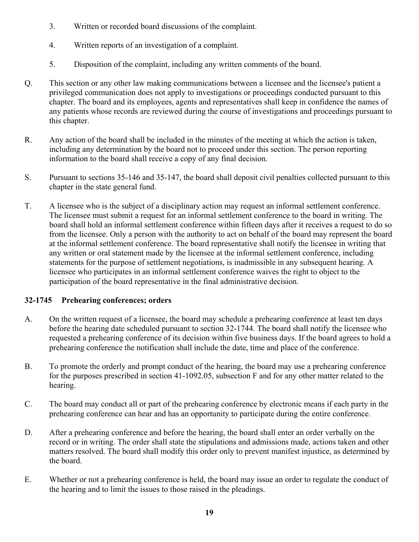- 3. Written or recorded board discussions of the complaint.
- 4. Written reports of an investigation of a complaint.
- 5. Disposition of the complaint, including any written comments of the board.
- Q. This section or any other law making communications between a licensee and the licensee's patient a privileged communication does not apply to investigations or proceedings conducted pursuant to this chapter. The board and its employees, agents and representatives shall keep in confidence the names of any patients whose records are reviewed during the course of investigations and proceedings pursuant to this chapter.
- R. Any action of the board shall be included in the minutes of the meeting at which the action is taken, including any determination by the board not to proceed under this section. The person reporting information to the board shall receive a copy of any final decision.
- S. Pursuant to sections 35-146 and 35-147, the board shall deposit civil penalties collected pursuant to this chapter in the state general fund.
- T. A licensee who is the subject of a disciplinary action may request an informal settlement conference. The licensee must submit a request for an informal settlement conference to the board in writing. The board shall hold an informal settlement conference within fifteen days after it receives a request to do so from the licensee. Only a person with the authority to act on behalf of the board may represent the board at the informal settlement conference. The board representative shall notify the licensee in writing that any written or oral statement made by the licensee at the informal settlement conference, including statements for the purpose of settlement negotiations, is inadmissible in any subsequent hearing. A licensee who participates in an informal settlement conference waives the right to object to the participation of the board representative in the final administrative decision.

#### **32-1745 Prehearing conferences; orders**

- A. On the written request of a licensee, the board may schedule a prehearing conference at least ten days before the hearing date scheduled pursuant to section 32-1744. The board shall notify the licensee who requested a prehearing conference of its decision within five business days. If the board agrees to hold a prehearing conference the notification shall include the date, time and place of the conference.
- B. To promote the orderly and prompt conduct of the hearing, the board may use a prehearing conference for the purposes prescribed in section 41-1092.05, subsection F and for any other matter related to the hearing.
- C. The board may conduct all or part of the prehearing conference by electronic means if each party in the prehearing conference can hear and has an opportunity to participate during the entire conference.
- D. After a prehearing conference and before the hearing, the board shall enter an order verbally on the record or in writing. The order shall state the stipulations and admissions made, actions taken and other matters resolved. The board shall modify this order only to prevent manifest injustice, as determined by the board.
- E. Whether or not a prehearing conference is held, the board may issue an order to regulate the conduct of the hearing and to limit the issues to those raised in the pleadings.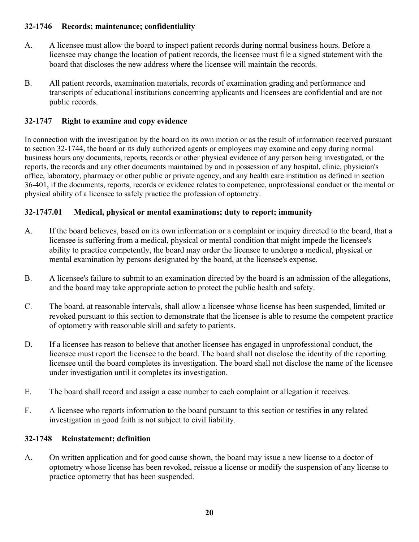#### **32-1746 Records; maintenance; confidentiality**

- A. A licensee must allow the board to inspect patient records during normal business hours. Before a licensee may change the location of patient records, the licensee must file a signed statement with the board that discloses the new address where the licensee will maintain the records.
- B. All patient records, examination materials, records of examination grading and performance and transcripts of educational institutions concerning applicants and licensees are confidential and are not public records.

#### **32-1747 Right to examine and copy evidence**

In connection with the investigation by the board on its own motion or as the result of information received pursuant to section 32-1744, the board or its duly authorized agents or employees may examine and copy during normal business hours any documents, reports, records or other physical evidence of any person being investigated, or the reports, the records and any other documents maintained by and in possession of any hospital, clinic, physician's office, laboratory, pharmacy or other public or private agency, and any health care institution as defined in section 36-401, if the documents, reports, records or evidence relates to competence, unprofessional conduct or the mental or physical ability of a licensee to safely practice the profession of optometry.

#### **32-1747.01 Medical, physical or mental examinations; duty to report; immunity**

- A. If the board believes, based on its own information or a complaint or inquiry directed to the board, that a licensee is suffering from a medical, physical or mental condition that might impede the licensee's ability to practice competently, the board may order the licensee to undergo a medical, physical or mental examination by persons designated by the board, at the licensee's expense.
- B. A licensee's failure to submit to an examination directed by the board is an admission of the allegations, and the board may take appropriate action to protect the public health and safety.
- C. The board, at reasonable intervals, shall allow a licensee whose license has been suspended, limited or revoked pursuant to this section to demonstrate that the licensee is able to resume the competent practice of optometry with reasonable skill and safety to patients.
- D. If a licensee has reason to believe that another licensee has engaged in unprofessional conduct, the licensee must report the licensee to the board. The board shall not disclose the identity of the reporting licensee until the board completes its investigation. The board shall not disclose the name of the licensee under investigation until it completes its investigation.
- E. The board shall record and assign a case number to each complaint or allegation it receives.
- F. A licensee who reports information to the board pursuant to this section or testifies in any related investigation in good faith is not subject to civil liability.

#### **32-1748 Reinstatement; definition**

A. On written application and for good cause shown, the board may issue a new license to a doctor of optometry whose license has been revoked, reissue a license or modify the suspension of any license to practice optometry that has been suspended.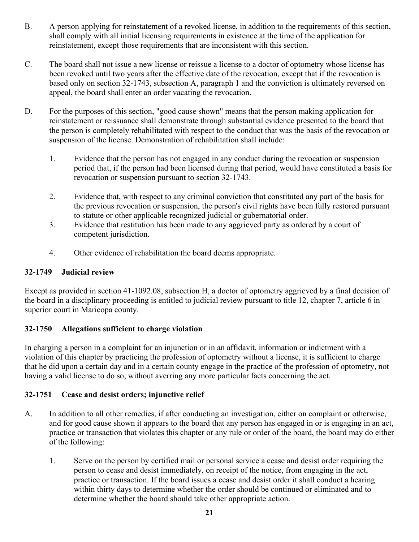- B. A person applying for reinstatement of a revoked license, in addition to the requirements of this section, shall comply with all initial licensing requirements in existence at the time of the application for reinstatement, except those requirements that are inconsistent with this section.
- C. The board shall not issue a new license or reissue a license to a doctor of optometry whose license has been revoked until two years after the effective date of the revocation, except that if the revocation is based only on section 32-1743, subsection A, paragraph 1 and the conviction is ultimately reversed on appeal, the board shall enter an order vacating the revocation.
- D. For the purposes of this section, "good cause shown" means that the person making application for reinstatement or reissuance shall demonstrate through substantial evidence presented to the board that the person is completely rehabilitated with respect to the conduct that was the basis of the revocation or suspension of the license. Demonstration of rehabilitation shall include:
	- 1. Evidence that the person has not engaged in any conduct during the revocation or suspension period that, if the person had been licensed during that period, would have constituted a basis for revocation or suspension pursuant to section 32-1743.
	- 2. Evidence that, with respect to any criminal conviction that constituted any part of the basis for the previous revocation or suspension, the person's civil rights have been fully restored pursuant to statute or other applicable recognized judicial or gubernatorial order.
	- 3. Evidence that restitution has been made to any aggrieved party as ordered by a court of competent jurisdiction.
	- 4. Other evidence of rehabilitation the board deems appropriate.

#### **32-1749 Judicial review**

Except as provided in section 41-1092.08, subsection H, a doctor of optometry aggrieved by a final decision of the board in a disciplinary proceeding is entitled to judicial review pursuant to title 12, chapter 7, article 6 in superior court in Maricopa county.

#### **32-1750 Allegations sufficient to charge violation**

In charging a person in a complaint for an injunction or in an affidavit, information or indictment with a violation of this chapter by practicing the profession of optometry without a license, it is sufficient to charge that he did upon a certain day and in a certain county engage in the practice of the profession of optometry, not having a valid license to do so, without averring any more particular facts concerning the act.

#### **32-1751 Cease and desist orders; injunctive relief**

- A. In addition to all other remedies, if after conducting an investigation, either on complaint or otherwise, and for good cause shown it appears to the board that any person has engaged in or is engaging in an act, practice or transaction that violates this chapter or any rule or order of the board, the board may do either of the following:
	- 1. Serve on the person by certified mail or personal service a cease and desist order requiring the person to cease and desist immediately, on receipt of the notice, from engaging in the act, practice or transaction. If the board issues a cease and desist order it shall conduct a hearing within thirty days to determine whether the order should be continued or eliminated and to determine whether the board should take other appropriate action.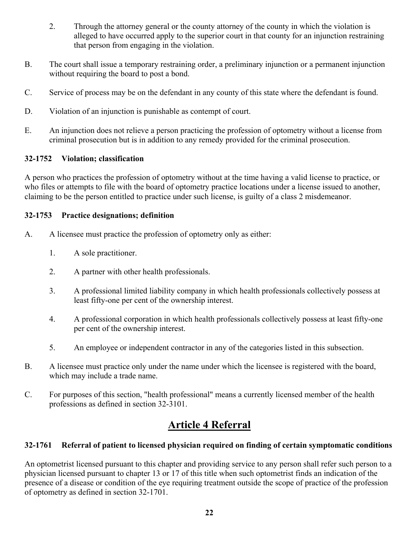- 2. Through the attorney general or the county attorney of the county in which the violation is alleged to have occurred apply to the superior court in that county for an injunction restraining that person from engaging in the violation.
- B. The court shall issue a temporary restraining order, a preliminary injunction or a permanent injunction without requiring the board to post a bond.
- C. Service of process may be on the defendant in any county of this state where the defendant is found.
- D. Violation of an injunction is punishable as contempt of court.
- E. An injunction does not relieve a person practicing the profession of optometry without a license from criminal prosecution but is in addition to any remedy provided for the criminal prosecution.

#### **32-1752 Violation; classification**

A person who practices the profession of optometry without at the time having a valid license to practice, or who files or attempts to file with the board of optometry practice locations under a license issued to another, claiming to be the person entitled to practice under such license, is guilty of a class 2 misdemeanor.

#### **32-1753 Practice designations; definition**

- A. A licensee must practice the profession of optometry only as either:
	- 1. A sole practitioner.
	- 2. A partner with other health professionals.
	- 3. A professional limited liability company in which health professionals collectively possess at least fifty-one per cent of the ownership interest.
	- 4. A professional corporation in which health professionals collectively possess at least fifty-one per cent of the ownership interest.
	- 5. An employee or independent contractor in any of the categories listed in this subsection.
- B. A licensee must practice only under the name under which the licensee is registered with the board, which may include a trade name.
- C. For purposes of this section, "health professional" means a currently licensed member of the health professions as defined in section 32-3101.

# **Article 4 Referral**

#### **32-1761 Referral of patient to licensed physician required on finding of certain symptomatic conditions**

An optometrist licensed pursuant to this chapter and providing service to any person shall refer such person to a physician licensed pursuant to chapter 13 or 17 of this title when such optometrist finds an indication of the presence of a disease or condition of the eye requiring treatment outside the scope of practice of the profession of optometry as defined in section 32-1701.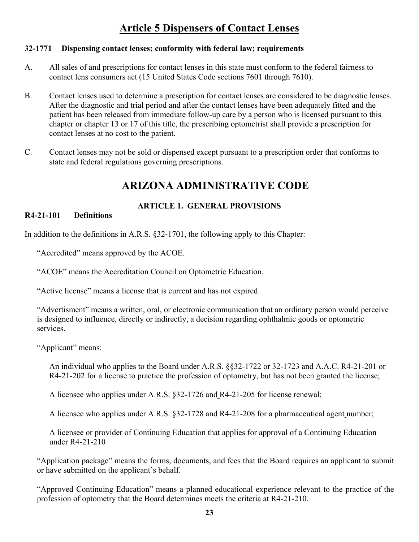# **Article 5 Dispensers of Contact Lenses**

#### **32-1771 Dispensing contact lenses; conformity with federal law; requirements**

- A. All sales of and prescriptions for contact lenses in this state must conform to the federal fairness to contact lens consumers act (15 United States Code sections 7601 through 7610).
- B. Contact lenses used to determine a prescription for contact lenses are considered to be diagnostic lenses. After the diagnostic and trial period and after the contact lenses have been adequately fitted and the patient has been released from immediate follow-up care by a person who is licensed pursuant to this chapter or chapter 13 or 17 of this title, the prescribing optometrist shall provide a prescription for contact lenses at no cost to the patient.
- C. Contact lenses may not be sold or dispensed except pursuant to a prescription order that conforms to state and federal regulations governing prescriptions.

### **ARIZONA ADMINISTRATIVE CODE**

#### **ARTICLE 1. GENERAL PROVISIONS**

#### **R4-21-101 Definitions**

In addition to the definitions in A.R.S. §32-1701, the following apply to this Chapter:

"Accredited" means approved by the ACOE.

"ACOE" means the Accreditation Council on Optometric Education.

"Active license" means a license that is current and has not expired.

"Advertisment" means a written, oral, or electronic communication that an ordinary person would perceive is designed to influence, directly or indirectly, a decision regarding ophthalmic goods or optometric services.

"Applicant" means:

An individual who applies to the Board under A.R.S. §§32-1722 or 32-1723 and A.A.C. R4-21-201 or R4-21-202 for a license to practice the profession of optometry, but has not been granted the license;

A licensee who applies under A.R.S. §32-1726 and R4-21-205 for license renewal;

A licensee who applies under A.R.S. §32-1728 and R4-21-208 for a pharmaceutical agent number;

A licensee or provider of Continuing Education that applies for approval of a Continuing Education under R4-21-210

"Application package" means the forms, documents, and fees that the Board requires an applicant to submit or have submitted on the applicant's behalf.

"Approved Continuing Education" means a planned educational experience relevant to the practice of the profession of optometry that the Board determines meets the criteria at R4-21-210.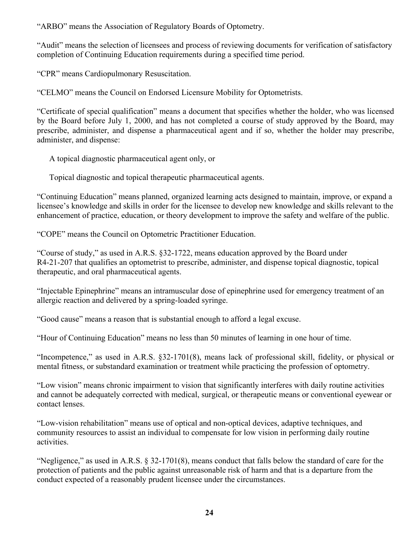"ARBO" means the Association of Regulatory Boards of Optometry.

"Audit" means the selection of licensees and process of reviewing documents for verification of satisfactory completion of Continuing Education requirements during a specified time period.

"CPR" means Cardiopulmonary Resuscitation.

"CELMO" means the Council on Endorsed Licensure Mobility for Optometrists.

"Certificate of special qualification" means a document that specifies whether the holder, who was licensed by the Board before July 1, 2000, and has not completed a course of study approved by the Board, may prescribe, administer, and dispense a pharmaceutical agent and if so, whether the holder may prescribe, administer, and dispense:

A topical diagnostic pharmaceutical agent only, or

Topical diagnostic and topical therapeutic pharmaceutical agents.

"Continuing Education" means planned, organized learning acts designed to maintain, improve, or expand a licensee's knowledge and skills in order for the licensee to develop new knowledge and skills relevant to the enhancement of practice, education, or theory development to improve the safety and welfare of the public.

"COPE" means the Council on Optometric Practitioner Education.

"Course of study," as used in A.R.S. §32-1722, means education approved by the Board under R4-21-207 that qualifies an optometrist to prescribe, administer, and dispense topical diagnostic, topical therapeutic, and oral pharmaceutical agents.

"Injectable Epinephrine" means an intramuscular dose of epinephrine used for emergency treatment of an allergic reaction and delivered by a spring-loaded syringe.

"Good cause" means a reason that is substantial enough to afford a legal excuse.

"Hour of Continuing Education" means no less than 50 minutes of learning in one hour of time.

"Incompetence," as used in A.R.S. §32-1701(8), means lack of professional skill, fidelity, or physical or mental fitness, or substandard examination or treatment while practicing the profession of optometry.

"Low vision" means chronic impairment to vision that significantly interferes with daily routine activities and cannot be adequately corrected with medical, surgical, or therapeutic means or conventional eyewear or contact lenses.

"Low-vision rehabilitation" means use of optical and non-optical devices, adaptive techniques, and community resources to assist an individual to compensate for low vision in performing daily routine activities.

"Negligence," as used in A.R.S.  $\S 32-1701(8)$ , means conduct that falls below the standard of care for the protection of patients and the public against unreasonable risk of harm and that is a departure from the conduct expected of a reasonably prudent licensee under the circumstances.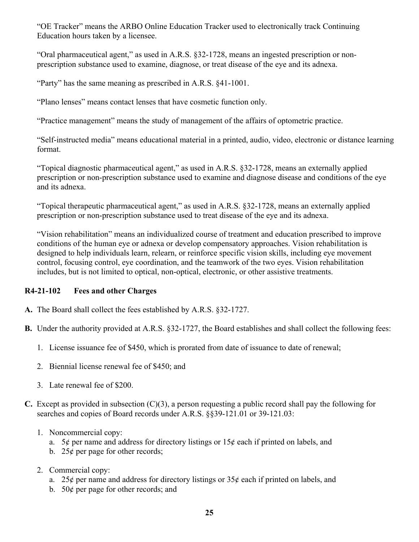"OE Tracker" means the ARBO Online Education Tracker used to electronically track Continuing Education hours taken by a licensee.

"Oral pharmaceutical agent," as used in A.R.S. §32-1728, means an ingested prescription or nonprescription substance used to examine, diagnose, or treat disease of the eye and its adnexa.

"Party" has the same meaning as prescribed in A.R.S. §41-1001.

"Plano lenses" means contact lenses that have cosmetic function only.

"Practice management" means the study of management of the affairs of optometric practice.

"Self-instructed media" means educational material in a printed, audio, video, electronic or distance learning format.

"Topical diagnostic pharmaceutical agent," as used in A.R.S. §32-1728, means an externally applied prescription or non-prescription substance used to examine and diagnose disease and conditions of the eye and its adnexa.

"Topical therapeutic pharmaceutical agent," as used in A.R.S. §32-1728, means an externally applied prescription or non-prescription substance used to treat disease of the eye and its adnexa.

"Vision rehabilitation" means an individualized course of treatment and education prescribed to improve conditions of the human eye or adnexa or develop compensatory approaches. Vision rehabilitation is designed to help individuals learn, relearn, or reinforce specific vision skills, including eye movement control, focusing control, eye coordination, and the teamwork of the two eyes. Vision rehabilitation includes, but is not limited to optical, non-optical, electronic, or other assistive treatments.

#### **R4-21-102 Fees and other Charges**

- **A.** The Board shall collect the fees established by A.R.S. §32-1727.
- **B.** Under the authority provided at A.R.S. §32-1727, the Board establishes and shall collect the following fees:
	- 1. License issuance fee of \$450, which is prorated from date of issuance to date of renewal;
	- 2. Biennial license renewal fee of \$450; and
	- 3. Late renewal fee of \$200.
- **C.** Except as provided in subsection (C)(3), a person requesting a public record shall pay the following for searches and copies of Board records under A.R.S. §§39-121.01 or 39-121.03:
	- 1. Noncommercial copy:
		- a. 5¢ per name and address for directory listings or  $15¢$  each if printed on labels, and
		- b. 25 $\phi$  per page for other records;
	- 2. Commercial copy:
		- a. 25¢ per name and address for directory listings or  $35¢$  each if printed on labels, and
		- b. 50 $\phi$  per page for other records; and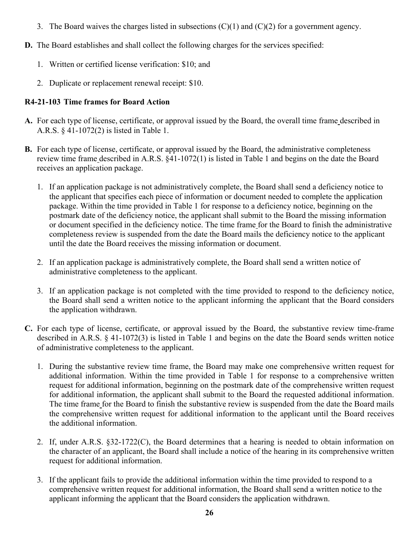- 3. The Board waives the charges listed in subsections  $(C)(1)$  and  $(C)(2)$  for a government agency.
- **D.** The Board establishes and shall collect the following charges for the services specified:
	- 1. Written or certified license verification: \$10; and
	- 2. Duplicate or replacement renewal receipt: \$10.

#### **R4-21-103 Time frames for Board Action**

- **A.** For each type of license, certificate, or approval issued by the Board, the overall time frame described in A.R.S. § 41-1072(2) is listed in Table 1.
- **B.** For each type of license, certificate, or approval issued by the Board, the administrative completeness review time frame described in A.R.S. §41-1072(1) is listed in Table 1 and begins on the date the Board receives an application package.
	- 1. If an application package is not administratively complete, the Board shall send a deficiency notice to the applicant that specifies each piece of information or document needed to complete the application package. Within the time provided in Table 1 for response to a deficiency notice, beginning on the postmark date of the deficiency notice, the applicant shall submit to the Board the missing information or document specified in the deficiency notice. The time frame for the Board to finish the administrative completeness review is suspended from the date the Board mails the deficiency notice to the applicant until the date the Board receives the missing information or document.
	- 2. If an application package is administratively complete, the Board shall send a written notice of administrative completeness to the applicant.
	- 3. If an application package is not completed with the time provided to respond to the deficiency notice, the Board shall send a written notice to the applicant informing the applicant that the Board considers the application withdrawn.
- **C.** For each type of license, certificate, or approval issued by the Board, the substantive review time-frame described in A.R.S. § 41-1072(3) is listed in Table 1 and begins on the date the Board sends written notice of administrative completeness to the applicant.
	- 1. During the substantive review time frame, the Board may make one comprehensive written request for additional information. Within the time provided in Table 1 for response to a comprehensive written request for additional information, beginning on the postmark date of the comprehensive written request for additional information, the applicant shall submit to the Board the requested additional information. The time frame for the Board to finish the substantive review is suspended from the date the Board mails the comprehensive written request for additional information to the applicant until the Board receives the additional information.
	- 2. If, under A.R.S. §32-1722(C), the Board determines that a hearing is needed to obtain information on the character of an applicant, the Board shall include a notice of the hearing in its comprehensive written request for additional information.
	- 3. If the applicant fails to provide the additional information within the time provided to respond to a comprehensive written request for additional information, the Board shall send a written notice to the applicant informing the applicant that the Board considers the application withdrawn.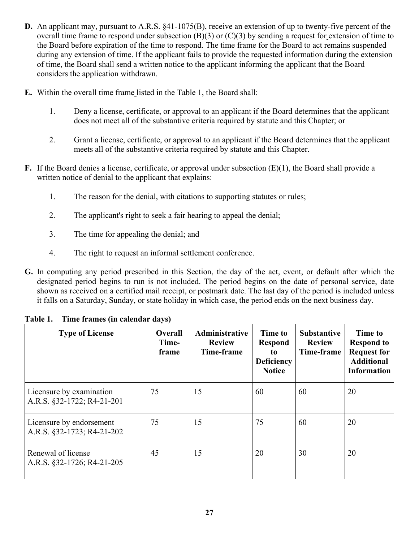- **D.** An applicant may, pursuant to A.R.S. §41-1075(B), receive an extension of up to twenty-five percent of the overall time frame to respond under subsection  $(B)(3)$  or  $(C)(3)$  by sending a request for extension of time to the Board before expiration of the time to respond. The time frame for the Board to act remains suspended during any extension of time. If the applicant fails to provide the requested information during the extension of time, the Board shall send a written notice to the applicant informing the applicant that the Board considers the application withdrawn.
- **E.** Within the overall time frame listed in the Table 1, the Board shall:
	- 1. Deny a license, certificate, or approval to an applicant if the Board determines that the applicant does not meet all of the substantive criteria required by statute and this Chapter; or
	- 2. Grant a license, certificate, or approval to an applicant if the Board determines that the applicant meets all of the substantive criteria required by statute and this Chapter.
- **F.** If the Board denies a license, certificate, or approval under subsection (E)(1), the Board shall provide a written notice of denial to the applicant that explains:
	- 1. The reason for the denial, with citations to supporting statutes or rules;
	- 2. The applicant's right to seek a fair hearing to appeal the denial;
	- 3. The time for appealing the denial; and
	- 4. The right to request an informal settlement conference.
- **G.** In computing any period prescribed in this Section, the day of the act, event, or default after which the designated period begins to run is not included. The period begins on the date of personal service, date shown as received on a certified mail receipt, or postmark date. The last day of the period is included unless it falls on a Saturday, Sunday, or state holiday in which case, the period ends on the next business day.

| <b>Type of License</b>                                 | <b>Overall</b><br>Time-<br>frame | Administrative<br><b>Review</b><br>Time-frame | Time to<br><b>Respond</b><br>to<br><b>Deficiency</b><br><b>Notice</b> | <b>Substantive</b><br><b>Review</b><br>Time-frame | Time to<br><b>Respond to</b><br><b>Request for</b><br><b>Additional</b><br><b>Information</b> |
|--------------------------------------------------------|----------------------------------|-----------------------------------------------|-----------------------------------------------------------------------|---------------------------------------------------|-----------------------------------------------------------------------------------------------|
| Licensure by examination<br>A.R.S. §32-1722; R4-21-201 | 75                               | 15                                            | 60                                                                    | 60                                                | 20                                                                                            |
| Licensure by endorsement<br>A.R.S. §32-1723; R4-21-202 | 75                               | 15                                            | 75                                                                    | 60                                                | 20                                                                                            |
| Renewal of license<br>A.R.S. §32-1726; R4-21-205       | 45                               | 15                                            | 20                                                                    | 30                                                | 20                                                                                            |

#### **Table 1. Time frames (in calendar days)**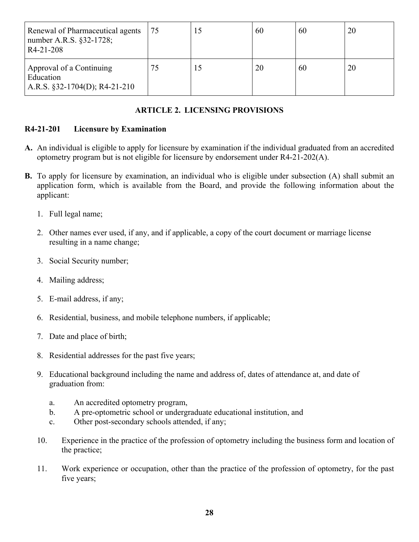| Renewal of Pharmaceutical agents<br>number A.R.S. §32-1728;<br>R <sub>4</sub> -21-208 | 75 | 60 | 60 | 20 |
|---------------------------------------------------------------------------------------|----|----|----|----|
| Approval of a Continuing<br>Education<br>A.R.S. $\S$ 32-1704(D); R4-21-210            | 75 | 20 | 60 | 20 |

#### **ARTICLE 2. LICENSING PROVISIONS**

#### **R4-21-201 Licensure by Examination**

- **A.** An individual is eligible to apply for licensure by examination if the individual graduated from an accredited optometry program but is not eligible for licensure by endorsement under R4-21-202(A).
- **B.** To apply for licensure by examination, an individual who is eligible under subsection (A) shall submit an application form, which is available from the Board, and provide the following information about the applicant:
	- 1. Full legal name;
	- 2. Other names ever used, if any, and if applicable, a copy of the court document or marriage license resulting in a name change;
	- 3. Social Security number;
	- 4. Mailing address;
	- 5. E-mail address, if any;
	- 6. Residential, business, and mobile telephone numbers, if applicable;
	- 7. Date and place of birth;
	- 8. Residential addresses for the past five years;
	- 9. Educational background including the name and address of, dates of attendance at, and date of graduation from:
		- a. An accredited optometry program,
		- b. A pre-optometric school or undergraduate educational institution, and
		- c. Other post-secondary schools attended, if any;
	- 10. Experience in the practice of the profession of optometry including the business form and location of the practice;
	- 11. Work experience or occupation, other than the practice of the profession of optometry, for the past five years;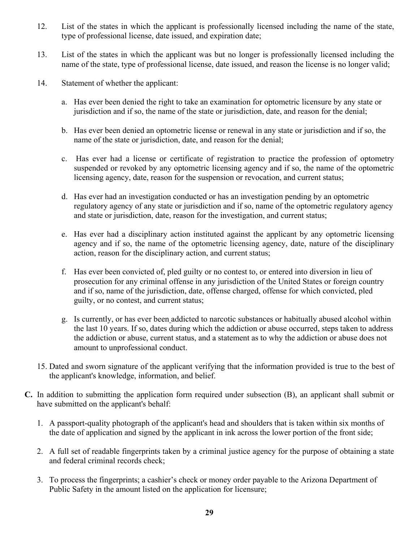- 12. List of the states in which the applicant is professionally licensed including the name of the state, type of professional license, date issued, and expiration date;
- 13. List of the states in which the applicant was but no longer is professionally licensed including the name of the state, type of professional license, date issued, and reason the license is no longer valid;
- 14. Statement of whether the applicant:
	- a. Has ever been denied the right to take an examination for optometric licensure by any state or jurisdiction and if so, the name of the state or jurisdiction, date, and reason for the denial;
	- b. Has ever been denied an optometric license or renewal in any state or jurisdiction and if so, the name of the state or jurisdiction, date, and reason for the denial;
	- c. Has ever had a license or certificate of registration to practice the profession of optometry suspended or revoked by any optometric licensing agency and if so, the name of the optometric licensing agency, date, reason for the suspension or revocation, and current status;
	- d. Has ever had an investigation conducted or has an investigation pending by an optometric regulatory agency of any state or jurisdiction and if so, name of the optometric regulatory agency and state or jurisdiction, date, reason for the investigation, and current status;
	- e. Has ever had a disciplinary action instituted against the applicant by any optometric licensing agency and if so, the name of the optometric licensing agency, date, nature of the disciplinary action, reason for the disciplinary action, and current status;
	- f. Has ever been convicted of, pled guilty or no contest to, or entered into diversion in lieu of prosecution for any criminal offense in any jurisdiction of the United States or foreign country and if so, name of the jurisdiction, date, offense charged, offense for which convicted, pled guilty, or no contest, and current status;
	- g. Is currently, or has ever been addicted to narcotic substances or habitually abused alcohol within the last 10 years. If so, dates during which the addiction or abuse occurred, steps taken to address the addiction or abuse, current status, and a statement as to why the addiction or abuse does not amount to unprofessional conduct.
- 15. Dated and sworn signature of the applicant verifying that the information provided is true to the best of the applicant's knowledge, information, and belief.
- **C.** In addition to submitting the application form required under subsection (B), an applicant shall submit or have submitted on the applicant's behalf:
	- 1. A passport-quality photograph of the applicant's head and shoulders that is taken within six months of the date of application and signed by the applicant in ink across the lower portion of the front side;
	- 2. A full set of readable fingerprints taken by a criminal justice agency for the purpose of obtaining a state and federal criminal records check;
	- 3. To process the fingerprints; a cashier's check or money order payable to the Arizona Department of Public Safety in the amount listed on the application for licensure;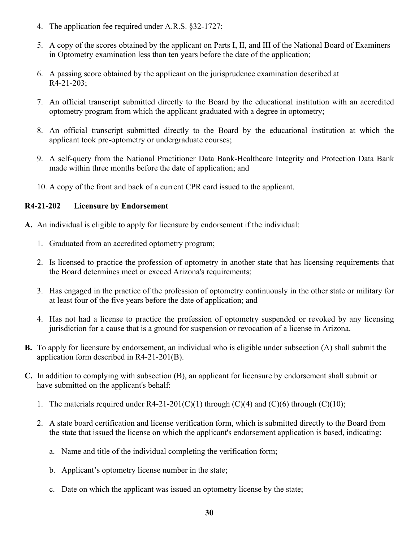- 4. The application fee required under A.R.S. §32-1727;
- 5. A copy of the scores obtained by the applicant on Parts I, II, and III of the National Board of Examiners in Optometry examination less than ten years before the date of the application;
- 6. A passing score obtained by the applicant on the jurisprudence examination described at R4-21-203;
- 7. An official transcript submitted directly to the Board by the educational institution with an accredited optometry program from which the applicant graduated with a degree in optometry;
- 8. An official transcript submitted directly to the Board by the educational institution at which the applicant took pre-optometry or undergraduate courses;
- 9. A self-query from the National Practitioner Data Bank-Healthcare Integrity and Protection Data Bank made within three months before the date of application; and
- 10. A copy of the front and back of a current CPR card issued to the applicant.

#### **R4-21-202 Licensure by Endorsement**

- **A.** An individual is eligible to apply for licensure by endorsement if the individual:
	- 1. Graduated from an accredited optometry program;
	- 2. Is licensed to practice the profession of optometry in another state that has licensing requirements that the Board determines meet or exceed Arizona's requirements;
	- 3. Has engaged in the practice of the profession of optometry continuously in the other state or military for at least four of the five years before the date of application; and
	- 4. Has not had a license to practice the profession of optometry suspended or revoked by any licensing jurisdiction for a cause that is a ground for suspension or revocation of a license in Arizona.
- **B.** To apply for licensure by endorsement, an individual who is eligible under subsection (A) shall submit the application form described in R4-21-201(B).
- **C.** In addition to complying with subsection (B), an applicant for licensure by endorsement shall submit or have submitted on the applicant's behalf:
	- 1. The materials required under R4-21-201(C)(1) through (C)(4) and (C)(6) through (C)(10);
	- 2. A state board certification and license verification form, which is submitted directly to the Board from the state that issued the license on which the applicant's endorsement application is based, indicating:
		- a. Name and title of the individual completing the verification form;
		- b. Applicant's optometry license number in the state;
		- c. Date on which the applicant was issued an optometry license by the state;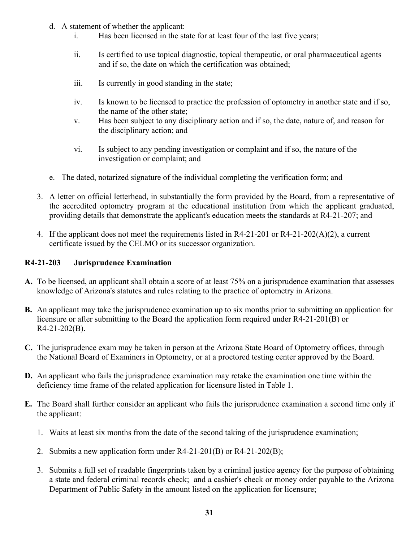- d. A statement of whether the applicant:
	- i. Has been licensed in the state for at least four of the last five years;
	- ii. Is certified to use topical diagnostic, topical therapeutic, or oral pharmaceutical agents and if so, the date on which the certification was obtained;
	- iii. Is currently in good standing in the state;
	- iv. Is known to be licensed to practice the profession of optometry in another state and if so, the name of the other state;
	- v. Has been subject to any disciplinary action and if so, the date, nature of, and reason for the disciplinary action; and
	- vi. Is subject to any pending investigation or complaint and if so, the nature of the investigation or complaint; and
- e. The dated, notarized signature of the individual completing the verification form; and
- 3. A letter on official letterhead, in substantially the form provided by the Board, from a representative of the accredited optometry program at the educational institution from which the applicant graduated, providing details that demonstrate the applicant's education meets the standards at R4-21-207; and
- 4. If the applicant does not meet the requirements listed in R4-21-201 or R4-21-202(A)(2), a current certificate issued by the CELMO or its successor organization.

#### **R4-21-203 Jurisprudence Examination**

- **A.** To be licensed, an applicant shall obtain a score of at least 75% on a jurisprudence examination that assesses knowledge of Arizona's statutes and rules relating to the practice of optometry in Arizona.
- **B.** An applicant may take the jurisprudence examination up to six months prior to submitting an application for licensure or after submitting to the Board the application form required under R4-21-201(B) or R4-21-202(B).
- **C.** The jurisprudence exam may be taken in person at the Arizona State Board of Optometry offices, through the National Board of Examiners in Optometry, or at a proctored testing center approved by the Board.
- **D.** An applicant who fails the jurisprudence examination may retake the examination one time within the deficiency time frame of the related application for licensure listed in Table 1.
- **E.** The Board shall further consider an applicant who fails the jurisprudence examination a second time only if the applicant:
	- 1. Waits at least six months from the date of the second taking of the jurisprudence examination;
	- 2. Submits a new application form under R4-21-201(B) or R4-21-202(B);
	- 3. Submits a full set of readable fingerprints taken by a criminal justice agency for the purpose of obtaining a state and federal criminal records check; and a cashier's check or money order payable to the Arizona Department of Public Safety in the amount listed on the application for licensure;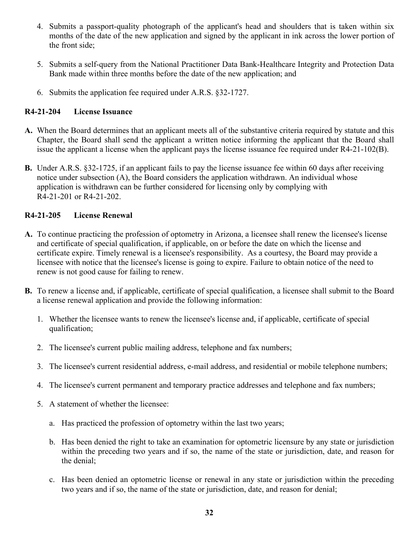- 4. Submits a passport-quality photograph of the applicant's head and shoulders that is taken within six months of the date of the new application and signed by the applicant in ink across the lower portion of the front side;
- 5. Submits a self-query from the National Practitioner Data Bank-Healthcare Integrity and Protection Data Bank made within three months before the date of the new application; and
- 6. Submits the application fee required under A.R.S. §32-1727.

#### **R4-21-204 License Issuance**

- **A.** When the Board determines that an applicant meets all of the substantive criteria required by statute and this Chapter, the Board shall send the applicant a written notice informing the applicant that the Board shall issue the applicant a license when the applicant pays the license issuance fee required under R4-21-102(B).
- **B.** Under A.R.S. §32-1725, if an applicant fails to pay the license issuance fee within 60 days after receiving notice under subsection (A), the Board considers the application withdrawn. An individual whose application is withdrawn can be further considered for licensing only by complying with R4-21-201 or R4-21-202.

#### **R4-21-205 License Renewal**

- **A.** To continue practicing the profession of optometry in Arizona, a licensee shall renew the licensee's license and certificate of special qualification, if applicable, on or before the date on which the license and certificate expire. Timely renewal is a licensee's responsibility. As a courtesy, the Board may provide a licensee with notice that the licensee's license is going to expire. Failure to obtain notice of the need to renew is not good cause for failing to renew.
- **B.** To renew a license and, if applicable, certificate of special qualification, a licensee shall submit to the Board a license renewal application and provide the following information:
	- 1. Whether the licensee wants to renew the licensee's license and, if applicable, certificate of special qualification;
	- 2. The licensee's current public mailing address, telephone and fax numbers;
	- 3. The licensee's current residential address, e-mail address, and residential or mobile telephone numbers;
	- 4. The licensee's current permanent and temporary practice addresses and telephone and fax numbers;
	- 5. A statement of whether the licensee:
		- a. Has practiced the profession of optometry within the last two years;
		- b. Has been denied the right to take an examination for optometric licensure by any state or jurisdiction within the preceding two years and if so, the name of the state or jurisdiction, date, and reason for the denial;
		- c. Has been denied an optometric license or renewal in any state or jurisdiction within the preceding two years and if so, the name of the state or jurisdiction, date, and reason for denial;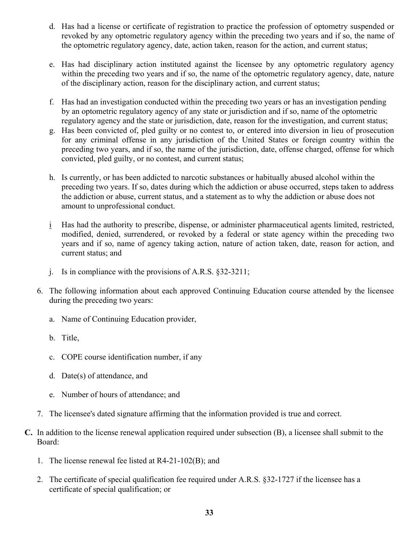- d. Has had a license or certificate of registration to practice the profession of optometry suspended or revoked by any optometric regulatory agency within the preceding two years and if so, the name of the optometric regulatory agency, date, action taken, reason for the action, and current status;
- e. Has had disciplinary action instituted against the licensee by any optometric regulatory agency within the preceding two years and if so, the name of the optometric regulatory agency, date, nature of the disciplinary action, reason for the disciplinary action, and current status;
- f. Has had an investigation conducted within the preceding two years or has an investigation pending by an optometric regulatory agency of any state or jurisdiction and if so, name of the optometric regulatory agency and the state or jurisdiction, date, reason for the investigation, and current status;
- g. Has been convicted of, pled guilty or no contest to, or entered into diversion in lieu of prosecution for any criminal offense in any jurisdiction of the United States or foreign country within the preceding two years, and if so, the name of the jurisdiction, date, offense charged, offense for which convicted, pled guilty, or no contest, and current status;
- h. Is currently, or has been addicted to narcotic substances or habitually abused alcohol within the preceding two years. If so, dates during which the addiction or abuse occurred, steps taken to address the addiction or abuse, current status, and a statement as to why the addiction or abuse does not amount to unprofessional conduct.
- i Has had the authority to prescribe, dispense, or administer pharmaceutical agents limited, restricted, modified, denied, surrendered, or revoked by a federal or state agency within the preceding two years and if so, name of agency taking action, nature of action taken, date, reason for action, and current status; and
- j. Is in compliance with the provisions of A.R.S. §32-3211;
- 6. The following information about each approved Continuing Education course attended by the licensee during the preceding two years:
	- a. Name of Continuing Education provider,
	- b. Title,
	- c. COPE course identification number, if any
	- d. Date(s) of attendance, and
	- e. Number of hours of attendance; and
- 7. The licensee's dated signature affirming that the information provided is true and correct.
- **C.** In addition to the license renewal application required under subsection (B), a licensee shall submit to the Board:
	- 1. The license renewal fee listed at R4-21-102(B); and
	- 2. The certificate of special qualification fee required under A.R.S. §32-1727 if the licensee has a certificate of special qualification; or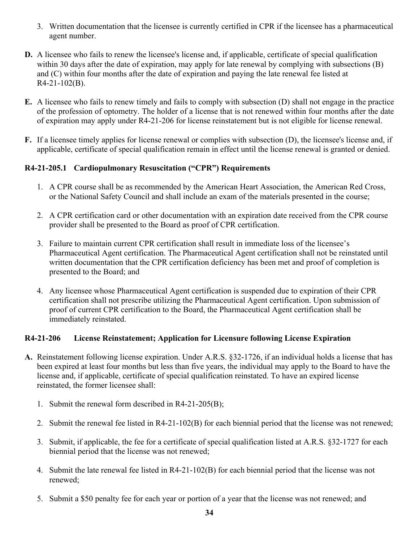- 3. Written documentation that the licensee is currently certified in CPR if the licensee has a pharmaceutical agent number.
- **D.** A licensee who fails to renew the licensee's license and, if applicable, certificate of special qualification within 30 days after the date of expiration, may apply for late renewal by complying with subsections (B) and (C) within four months after the date of expiration and paying the late renewal fee listed at R4-21-102(B).
- **E.** A licensee who fails to renew timely and fails to comply with subsection (D) shall not engage in the practice of the profession of optometry. The holder of a license that is not renewed within four months after the date of expiration may apply under R4-21-206 for license reinstatement but is not eligible for license renewal.
- **F.** If a licensee timely applies for license renewal or complies with subsection (D), the licensee's license and, if applicable, certificate of special qualification remain in effect until the license renewal is granted or denied.

#### **R4-21-205.1 Cardiopulmonary Resuscitation ("CPR") Requirements**

- 1. A CPR course shall be as recommended by the American Heart Association, the American Red Cross, or the National Safety Council and shall include an exam of the materials presented in the course;
- 2. A CPR certification card or other documentation with an expiration date received from the CPR course provider shall be presented to the Board as proof of CPR certification.
- 3. Failure to maintain current CPR certification shall result in immediate loss of the licensee's Pharmaceutical Agent certification. The Pharmaceutical Agent certification shall not be reinstated until written documentation that the CPR certification deficiency has been met and proof of completion is presented to the Board; and
- 4. Any licensee whose Pharmaceutical Agent certification is suspended due to expiration of their CPR certification shall not prescribe utilizing the Pharmaceutical Agent certification. Upon submission of proof of current CPR certification to the Board, the Pharmaceutical Agent certification shall be immediately reinstated.

#### **R4-21-206 License Reinstatement; Application for Licensure following License Expiration**

- **A.** Reinstatement following license expiration. Under A.R.S. §32-1726, if an individual holds a license that has been expired at least four months but less than five years, the individual may apply to the Board to have the license and, if applicable, certificate of special qualification reinstated. To have an expired license reinstated, the former licensee shall:
	- 1. Submit the renewal form described in R4-21-205(B);
	- 2. Submit the renewal fee listed in R4-21-102(B) for each biennial period that the license was not renewed;
	- 3. Submit, if applicable, the fee for a certificate of special qualification listed at A.R.S. §32-1727 for each biennial period that the license was not renewed;
	- 4. Submit the late renewal fee listed in R4-21-102(B) for each biennial period that the license was not renewed;
	- 5. Submit a \$50 penalty fee for each year or portion of a year that the license was not renewed; and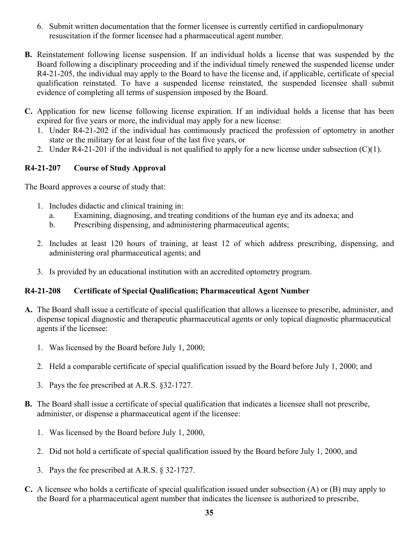- 6. Submit written documentation that the former licensee is currently certified in cardiopulmonary resuscitation if the former licensee had a pharmaceutical agent number.
- **B.** Reinstatement following license suspension. If an individual holds a license that was suspended by the Board following a disciplinary proceeding and if the individual timely renewed the suspended license under R4-21-205, the individual may apply to the Board to have the license and, if applicable, certificate of special qualification reinstated. To have a suspended license reinstated, the suspended licensee shall submit evidence of completing all terms of suspension imposed by the Board.
- **C.** Application for new license following license expiration. If an individual holds a license that has been expired for five years or more, the individual may apply for a new license:
	- 1. Under R4-21-202 if the individual has continuously practiced the profession of optometry in another state or the military for at least four of the last five years, or
	- 2. Under R4-21-201 if the individual is not qualified to apply for a new license under subsection  $(C)(1)$ .

#### **R4-21-207 Course of Study Approval**

The Board approves a course of study that:

- 1. Includes didactic and clinical training in:
	- a. Examining, diagnosing, and treating conditions of the human eye and its adnexa; and
	- b. Prescribing dispensing, and administering pharmaceutical agents;
- 2. Includes at least 120 hours of training, at least 12 of which address prescribing, dispensing, and administering oral pharmaceutical agents; and
- 3. Is provided by an educational institution with an accredited optometry program.

#### **R4-21-208 Certificate of Special Qualification; Pharmaceutical Agent Number**

- **A.** The Board shall issue a certificate of special qualification that allows a licensee to prescribe, administer, and dispense topical diagnostic and therapeutic pharmaceutical agents or only topical diagnostic pharmaceutical agents if the licensee:
	- 1. Was licensed by the Board before July 1, 2000;
	- 2. Held a comparable certificate of special qualification issued by the Board before July 1, 2000; and
	- 3. Pays the fee prescribed at A.R.S. §32-1727.
- **B.** The Board shall issue a certificate of special qualification that indicates a licensee shall not prescribe, administer, or dispense a pharmaceutical agent if the licensee:
	- 1. Was licensed by the Board before July 1, 2000,
	- 2. Did not hold a certificate of special qualification issued by the Board before July 1, 2000, and
	- 3. Pays the fee prescribed at A.R.S. § 32-1727.
- **C.** A licensee who holds a certificate of special qualification issued under subsection (A) or (B) may apply to the Board for a pharmaceutical agent number that indicates the licensee is authorized to prescribe,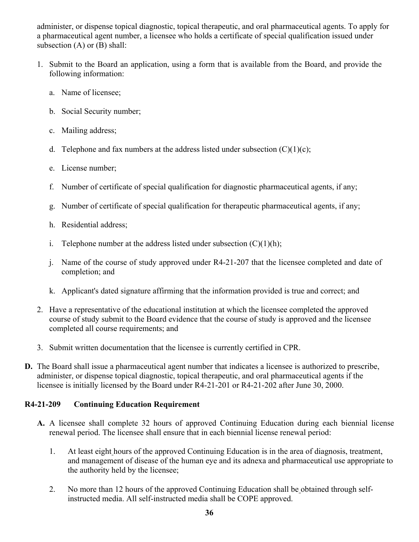administer, or dispense topical diagnostic, topical therapeutic, and oral pharmaceutical agents. To apply for a pharmaceutical agent number, a licensee who holds a certificate of special qualification issued under subsection  $(A)$  or  $(B)$  shall:

- 1. Submit to the Board an application, using a form that is available from the Board, and provide the following information:
	- a. Name of licensee;
	- b. Social Security number;
	- c. Mailing address;
	- d. Telephone and fax numbers at the address listed under subsection  $(C)(1)(c)$ ;
	- e. License number;
	- f. Number of certificate of special qualification for diagnostic pharmaceutical agents, if any;
	- g. Number of certificate of special qualification for therapeutic pharmaceutical agents, if any;
	- h. Residential address;
	- i. Telephone number at the address listed under subsection  $(C)(1)(h)$ ;
	- j. Name of the course of study approved under R4-21-207 that the licensee completed and date of completion; and
	- k. Applicant's dated signature affirming that the information provided is true and correct; and
- 2. Have a representative of the educational institution at which the licensee completed the approved course of study submit to the Board evidence that the course of study is approved and the licensee completed all course requirements; and
- 3. Submit written documentation that the licensee is currently certified in CPR.
- **D.** The Board shall issue a pharmaceutical agent number that indicates a licensee is authorized to prescribe, administer, or dispense topical diagnostic, topical therapeutic, and oral pharmaceutical agents if the licensee is initially licensed by the Board under R4-21-201 or R4-21-202 after June 30, 2000.

#### **R4-21-209 Continuing Education Requirement**

- **A.** A licensee shall complete 32 hours of approved Continuing Education during each biennial license renewal period. The licensee shall ensure that in each biennial license renewal period:
	- 1. At least eight hours of the approved Continuing Education is in the area of diagnosis, treatment, and management of disease of the human eye and its adnexa and pharmaceutical use appropriate to the authority held by the licensee;
	- 2. No more than 12 hours of the approved Continuing Education shall be obtained through selfinstructed media. All self-instructed media shall be COPE approved.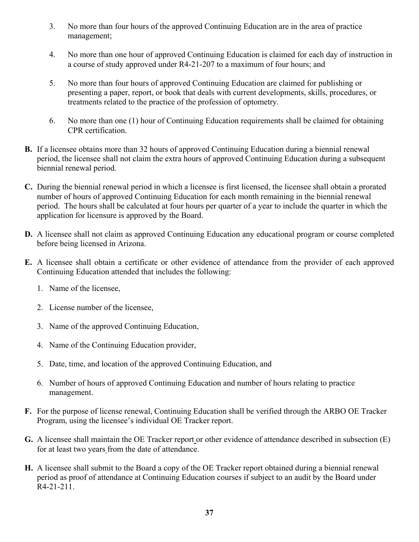- 3. No more than four hours of the approved Continuing Education are in the area of practice management;
- 4. No more than one hour of approved Continuing Education is claimed for each day of instruction in a course of study approved under R4-21-207 to a maximum of four hours; and
- 5. No more than four hours of approved Continuing Education are claimed for publishing or presenting a paper, report, or book that deals with current developments, skills, procedures, or treatments related to the practice of the profession of optometry.
- 6. No more than one (1) hour of Continuing Education requirements shall be claimed for obtaining CPR certification.
- **B.** If a licensee obtains more than 32 hours of approved Continuing Education during a biennial renewal period, the licensee shall not claim the extra hours of approved Continuing Education during a subsequent biennial renewal period.
- **C.** During the biennial renewal period in which a licensee is first licensed, the licensee shall obtain a prorated number of hours of approved Continuing Education for each month remaining in the biennial renewal period. The hours shall be calculated at four hours per quarter of a year to include the quarter in which the application for licensure is approved by the Board.
- **D.** A licensee shall not claim as approved Continuing Education any educational program or course completed before being licensed in Arizona.
- **E.** A licensee shall obtain a certificate or other evidence of attendance from the provider of each approved Continuing Education attended that includes the following:
	- 1. Name of the licensee,
	- 2. License number of the licensee,
	- 3. Name of the approved Continuing Education,
	- 4. Name of the Continuing Education provider,
	- 5. Date, time, and location of the approved Continuing Education, and
	- 6. Number of hours of approved Continuing Education and number of hours relating to practice management.
- **F.** For the purpose of license renewal, Continuing Education shall be verified through the ARBO OE Tracker Program, using the licensee's individual OE Tracker report.
- **G.** A licensee shall maintain the OE Tracker report or other evidence of attendance described in subsection (E) for at least two years from the date of attendance.
- **H.** A licensee shall submit to the Board a copy of the OE Tracker report obtained during a biennial renewal period as proof of attendance at Continuing Education courses if subject to an audit by the Board under R4-21-211.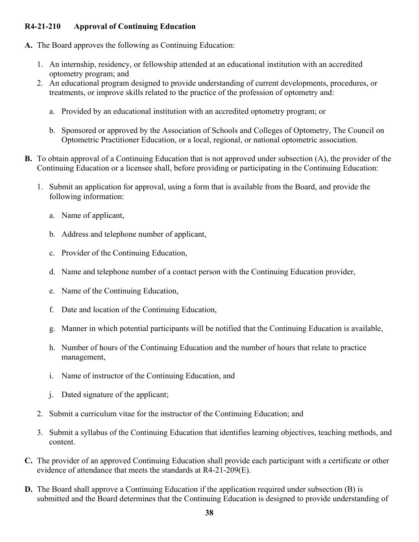#### **R4-21-210 Approval of Continuing Education**

- **A.** The Board approves the following as Continuing Education:
	- 1. An internship, residency, or fellowship attended at an educational institution with an accredited optometry program; and
	- 2. An educational program designed to provide understanding of current developments, procedures, or treatments, or improve skills related to the practice of the profession of optometry and:
		- a. Provided by an educational institution with an accredited optometry program; or
		- b. Sponsored or approved by the Association of Schools and Colleges of Optometry, The Council on Optometric Practitioner Education, or a local, regional, or national optometric association.
- **B.** To obtain approval of a Continuing Education that is not approved under subsection (A), the provider of the Continuing Education or a licensee shall, before providing or participating in the Continuing Education:
	- 1. Submit an application for approval, using a form that is available from the Board, and provide the following information:
		- a. Name of applicant,
		- b. Address and telephone number of applicant,
		- c. Provider of the Continuing Education,
		- d. Name and telephone number of a contact person with the Continuing Education provider,
		- e. Name of the Continuing Education,
		- f. Date and location of the Continuing Education,
		- g. Manner in which potential participants will be notified that the Continuing Education is available,
		- h. Number of hours of the Continuing Education and the number of hours that relate to practice management,
		- i. Name of instructor of the Continuing Education, and
		- j. Dated signature of the applicant;
	- 2. Submit a curriculum vitae for the instructor of the Continuing Education; and
	- 3. Submit a syllabus of the Continuing Education that identifies learning objectives, teaching methods, and content.
- **C.** The provider of an approved Continuing Education shall provide each participant with a certificate or other evidence of attendance that meets the standards at R4-21-209(E).
- **D.** The Board shall approve a Continuing Education if the application required under subsection (B) is submitted and the Board determines that the Continuing Education is designed to provide understanding of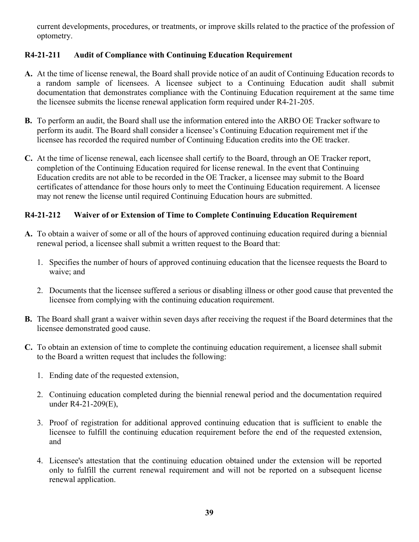current developments, procedures, or treatments, or improve skills related to the practice of the profession of optometry.

#### **R4-21-211 Audit of Compliance with Continuing Education Requirement**

- **A.** At the time of license renewal, the Board shall provide notice of an audit of Continuing Education records to a random sample of licensees. A licensee subject to a Continuing Education audit shall submit documentation that demonstrates compliance with the Continuing Education requirement at the same time the licensee submits the license renewal application form required under R4-21-205.
- **B.** To perform an audit, the Board shall use the information entered into the ARBO OE Tracker software to perform its audit. The Board shall consider a licensee's Continuing Education requirement met if the licensee has recorded the required number of Continuing Education credits into the OE tracker.
- **C.** At the time of license renewal, each licensee shall certify to the Board, through an OE Tracker report, completion of the Continuing Education required for license renewal. In the event that Continuing Education credits are not able to be recorded in the OE Tracker, a licensee may submit to the Board certificates of attendance for those hours only to meet the Continuing Education requirement. A licensee may not renew the license until required Continuing Education hours are submitted.

#### **R4-21-212 Waiver of or Extension of Time to Complete Continuing Education Requirement**

- **A.** To obtain a waiver of some or all of the hours of approved continuing education required during a biennial renewal period, a licensee shall submit a written request to the Board that:
	- 1. Specifies the number of hours of approved continuing education that the licensee requests the Board to waive; and
	- 2. Documents that the licensee suffered a serious or disabling illness or other good cause that prevented the licensee from complying with the continuing education requirement.
- **B.** The Board shall grant a waiver within seven days after receiving the request if the Board determines that the licensee demonstrated good cause.
- **C.** To obtain an extension of time to complete the continuing education requirement, a licensee shall submit to the Board a written request that includes the following:
	- 1. Ending date of the requested extension,
	- 2. Continuing education completed during the biennial renewal period and the documentation required under R4-21-209(E),
	- 3. Proof of registration for additional approved continuing education that is sufficient to enable the licensee to fulfill the continuing education requirement before the end of the requested extension, and
	- 4. Licensee's attestation that the continuing education obtained under the extension will be reported only to fulfill the current renewal requirement and will not be reported on a subsequent license renewal application.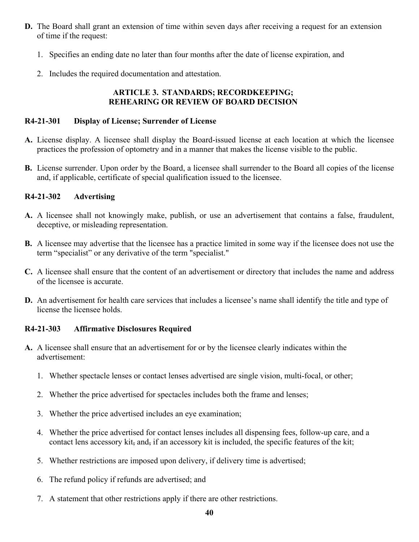- **D.** The Board shall grant an extension of time within seven days after receiving a request for an extension of time if the request:
	- 1. Specifies an ending date no later than four months after the date of license expiration, and
	- 2. Includes the required documentation and attestation.

#### **ARTICLE 3. STANDARDS; RECORDKEEPING; REHEARING OR REVIEW OF BOARD DECISION**

#### **R4-21-301 Display of License; Surrender of License**

- **A.** License display. A licensee shall display the Board-issued license at each location at which the licensee practices the profession of optometry and in a manner that makes the license visible to the public.
- **B.** License surrender. Upon order by the Board, a licensee shall surrender to the Board all copies of the license and, if applicable, certificate of special qualification issued to the licensee.

#### **R4-21-302 Advertising**

- **A.** A licensee shall not knowingly make, publish, or use an advertisement that contains a false, fraudulent, deceptive, or misleading representation.
- **B.** A licensee may advertise that the licensee has a practice limited in some way if the licensee does not use the term "specialist" or any derivative of the term "specialist."
- **C.** A licensee shall ensure that the content of an advertisement or directory that includes the name and address of the licensee is accurate.
- **D.** An advertisement for health care services that includes a licensee's name shall identify the title and type of license the licensee holds.

#### **R4-21-303 Affirmative Disclosures Required**

- **A.** A licensee shall ensure that an advertisement for or by the licensee clearly indicates within the advertisement:
	- 1. Whether spectacle lenses or contact lenses advertised are single vision, multi-focal, or other;
	- 2. Whether the price advertised for spectacles includes both the frame and lenses;
	- 3. Whether the price advertised includes an eye examination;
	- 4. Whether the price advertised for contact lenses includes all dispensing fees, follow-up care, and a contact lens accessory kit, and, if an accessory kit is included, the specific features of the kit;
	- 5. Whether restrictions are imposed upon delivery, if delivery time is advertised;
	- 6. The refund policy if refunds are advertised; and
	- 7. A statement that other restrictions apply if there are other restrictions.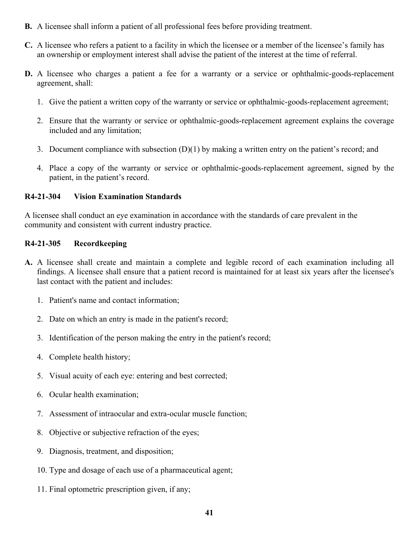- **B.** A licensee shall inform a patient of all professional fees before providing treatment.
- **C.** A licensee who refers a patient to a facility in which the licensee or a member of the licensee's family has an ownership or employment interest shall advise the patient of the interest at the time of referral.
- **D.** A licensee who charges a patient a fee for a warranty or a service or ophthalmic-goods-replacement agreement, shall:
	- 1. Give the patient a written copy of the warranty or service or ophthalmic-goods-replacement agreement;
	- 2. Ensure that the warranty or service or ophthalmic-goods-replacement agreement explains the coverage included and any limitation;
	- 3. Document compliance with subsection (D)(1) by making a written entry on the patient's record; and
	- 4. Place a copy of the warranty or service or ophthalmic-goods-replacement agreement, signed by the patient, in the patient's record.

#### **R4-21-304 Vision Examination Standards**

A licensee shall conduct an eye examination in accordance with the standards of care prevalent in the community and consistent with current industry practice.

#### **R4-21-305 Recordkeeping**

- **A.** A licensee shall create and maintain a complete and legible record of each examination including all findings. A licensee shall ensure that a patient record is maintained for at least six years after the licensee's last contact with the patient and includes:
	- 1. Patient's name and contact information;
	- 2. Date on which an entry is made in the patient's record;
	- 3. Identification of the person making the entry in the patient's record;
	- 4. Complete health history;
	- 5. Visual acuity of each eye: entering and best corrected;
	- 6. Ocular health examination;
	- 7. Assessment of intraocular and extra-ocular muscle function;
	- 8. Objective or subjective refraction of the eyes;
	- 9. Diagnosis, treatment, and disposition;
	- 10. Type and dosage of each use of a pharmaceutical agent;
	- 11. Final optometric prescription given, if any;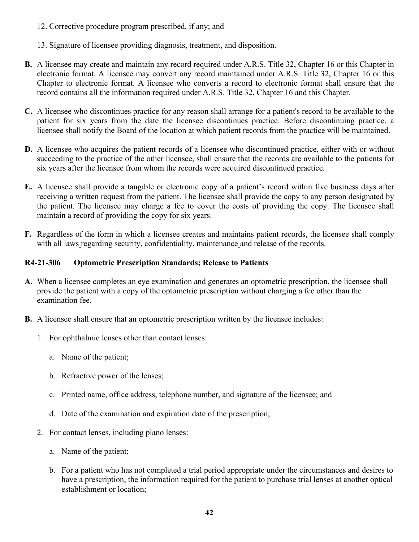12. Corrective procedure program prescribed, if any; and

13. Signature of licensee providing diagnosis, treatment, and disposition.

- **B.** A licensee may create and maintain any record required under A.R.S. Title 32, Chapter 16 or this Chapter in electronic format. A licensee may convert any record maintained under A.R.S. Title 32, Chapter 16 or this Chapter to electronic format. A licensee who converts a record to electronic format shall ensure that the record contains all the information required under A.R.S. Title 32, Chapter 16 and this Chapter.
- **C.** A licensee who discontinues practice for any reason shall arrange for a patient's record to be available to the patient for six years from the date the licensee discontinues practice. Before discontinuing practice, a licensee shall notify the Board of the location at which patient records from the practice will be maintained.
- **D.** A licensee who acquires the patient records of a licensee who discontinued practice, either with or without succeeding to the practice of the other licensee, shall ensure that the records are available to the patients for six years after the licensee from whom the records were acquired discontinued practice.
- **E.** A licensee shall provide a tangible or electronic copy of a patient's record within five business days after receiving a written request from the patient. The licensee shall provide the copy to any person designated by the patient. The licensee may charge a fee to cover the costs of providing the copy. The licensee shall maintain a record of providing the copy for six years.
- **F.** Regardless of the form in which a licensee creates and maintains patient records, the licensee shall comply with all laws regarding security, confidentiality, maintenance and release of the records.

#### **R4-21-306 Optometric Prescription Standards; Release to Patients**

- **A.** When a licensee completes an eye examination and generates an optometric prescription, the licensee shall provide the patient with a copy of the optometric prescription without charging a fee other than the examination fee.
- **B.** A licensee shall ensure that an optometric prescription written by the licensee includes:
	- 1. For ophthalmic lenses other than contact lenses:
		- a. Name of the patient;
		- b. Refractive power of the lenses;
		- c. Printed name, office address, telephone number, and signature of the licensee; and
		- d. Date of the examination and expiration date of the prescription;
	- 2. For contact lenses, including plano lenses:
		- a. Name of the patient;
		- b. For a patient who has not completed a trial period appropriate under the circumstances and desires to have a prescription, the information required for the patient to purchase trial lenses at another optical establishment or location;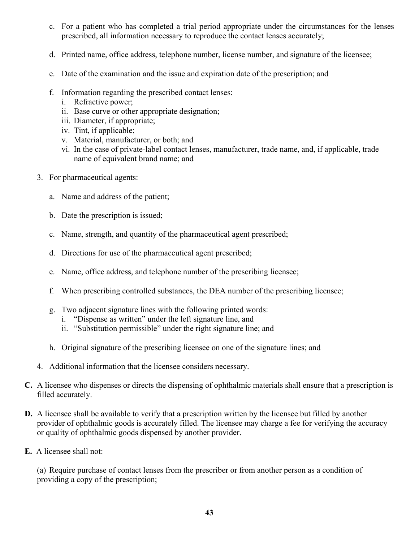- c. For a patient who has completed a trial period appropriate under the circumstances for the lenses prescribed, all information necessary to reproduce the contact lenses accurately;
- d. Printed name, office address, telephone number, license number, and signature of the licensee;
- e. Date of the examination and the issue and expiration date of the prescription; and
- f. Information regarding the prescribed contact lenses:
	- i. Refractive power;
	- ii. Base curve or other appropriate designation;
	- iii. Diameter, if appropriate;
	- iv. Tint, if applicable;
	- v. Material, manufacturer, or both; and
	- vi. In the case of private-label contact lenses, manufacturer, trade name, and, if applicable, trade name of equivalent brand name; and
- 3. For pharmaceutical agents:
	- a. Name and address of the patient;
	- b. Date the prescription is issued;
	- c. Name, strength, and quantity of the pharmaceutical agent prescribed;
	- d. Directions for use of the pharmaceutical agent prescribed;
	- e. Name, office address, and telephone number of the prescribing licensee;
	- f. When prescribing controlled substances, the DEA number of the prescribing licensee;
	- g. Two adjacent signature lines with the following printed words:
		- i. "Dispense as written" under the left signature line, and
		- ii. "Substitution permissible" under the right signature line; and
	- h. Original signature of the prescribing licensee on one of the signature lines; and
- 4. Additional information that the licensee considers necessary.
- **C.** A licensee who dispenses or directs the dispensing of ophthalmic materials shall ensure that a prescription is filled accurately.
- **D.** A licensee shall be available to verify that a prescription written by the licensee but filled by another provider of ophthalmic goods is accurately filled. The licensee may charge a fee for verifying the accuracy or quality of ophthalmic goods dispensed by another provider.
- **E.** A licensee shall not:

 (a) Require purchase of contact lenses from the prescriber or from another person as a condition of providing a copy of the prescription;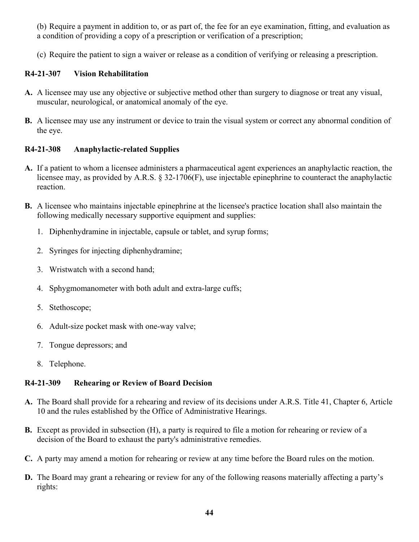(b) Require a payment in addition to, or as part of, the fee for an eye examination, fitting, and evaluation as a condition of providing a copy of a prescription or verification of a prescription;

(c) Require the patient to sign a waiver or release as a condition of verifying or releasing a prescription.

#### **R4-21-307 Vision Rehabilitation**

- **A.** A licensee may use any objective or subjective method other than surgery to diagnose or treat any visual, muscular, neurological, or anatomical anomaly of the eye.
- **B.** A licensee may use any instrument or device to train the visual system or correct any abnormal condition of the eye.

#### **R4-21-308 Anaphylactic-related Supplies**

- **A.** If a patient to whom a licensee administers a pharmaceutical agent experiences an anaphylactic reaction, the licensee may, as provided by A.R.S. § 32-1706(F), use injectable epinephrine to counteract the anaphylactic reaction.
- **B.** A licensee who maintains injectable epinephrine at the licensee's practice location shall also maintain the following medically necessary supportive equipment and supplies:
	- 1. Diphenhydramine in injectable, capsule or tablet, and syrup forms;
	- 2. Syringes for injecting diphenhydramine;
	- 3. Wristwatch with a second hand;
	- 4. Sphygmomanometer with both adult and extra-large cuffs;
	- 5. Stethoscope;
	- 6. Adult-size pocket mask with one-way valve;
	- 7. Tongue depressors; and
	- 8. Telephone.

#### **R4-21-309 Rehearing or Review of Board Decision**

- **A.** The Board shall provide for a rehearing and review of its decisions under A.R.S. Title 41, Chapter 6, Article 10 and the rules established by the Office of Administrative Hearings.
- **B.** Except as provided in subsection (H), a party is required to file a motion for rehearing or review of a decision of the Board to exhaust the party's administrative remedies.
- **C.** A party may amend a motion for rehearing or review at any time before the Board rules on the motion.
- **D.** The Board may grant a rehearing or review for any of the following reasons materially affecting a party's rights: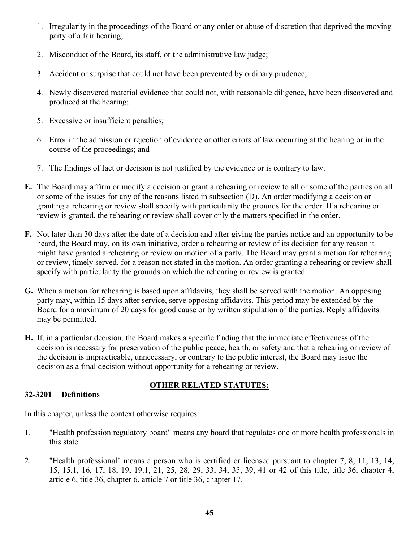- 1. Irregularity in the proceedings of the Board or any order or abuse of discretion that deprived the moving party of a fair hearing;
- 2. Misconduct of the Board, its staff, or the administrative law judge;
- 3. Accident or surprise that could not have been prevented by ordinary prudence;
- 4. Newly discovered material evidence that could not, with reasonable diligence, have been discovered and produced at the hearing;
- 5. Excessive or insufficient penalties;
- 6. Error in the admission or rejection of evidence or other errors of law occurring at the hearing or in the course of the proceedings; and
- 7. The findings of fact or decision is not justified by the evidence or is contrary to law.
- **E.** The Board may affirm or modify a decision or grant a rehearing or review to all or some of the parties on all or some of the issues for any of the reasons listed in subsection (D). An order modifying a decision or granting a rehearing or review shall specify with particularity the grounds for the order. If a rehearing or review is granted, the rehearing or review shall cover only the matters specified in the order.
- **F.** Not later than 30 days after the date of a decision and after giving the parties notice and an opportunity to be heard, the Board may, on its own initiative, order a rehearing or review of its decision for any reason it might have granted a rehearing or review on motion of a party. The Board may grant a motion for rehearing or review, timely served, for a reason not stated in the motion. An order granting a rehearing or review shall specify with particularity the grounds on which the rehearing or review is granted.
- **G.** When a motion for rehearing is based upon affidavits, they shall be served with the motion. An opposing party may, within 15 days after service, serve opposing affidavits. This period may be extended by the Board for a maximum of 20 days for good cause or by written stipulation of the parties. Reply affidavits may be permitted.
- **H.** If, in a particular decision, the Board makes a specific finding that the immediate effectiveness of the decision is necessary for preservation of the public peace, health, or safety and that a rehearing or review of the decision is impracticable, unnecessary, or contrary to the public interest, the Board may issue the decision as a final decision without opportunity for a rehearing or review.

#### **32-3201 Definitions**

#### **OTHER RELATED STATUTES:**

In this chapter, unless the context otherwise requires:

- 1. "Health profession regulatory board" means any board that regulates one or more health professionals in this state.
- 2. "Health professional" means a person who is certified or licensed pursuant to chapter 7, 8, 11, 13, 14, 15, 15.1, 16, 17, 18, 19, 19.1, 21, 25, 28, 29, 33, 34, 35, 39, 41 or 42 of this title, title 36, chapter 4, article 6, title 36, chapter 6, article 7 or title 36, chapter 17.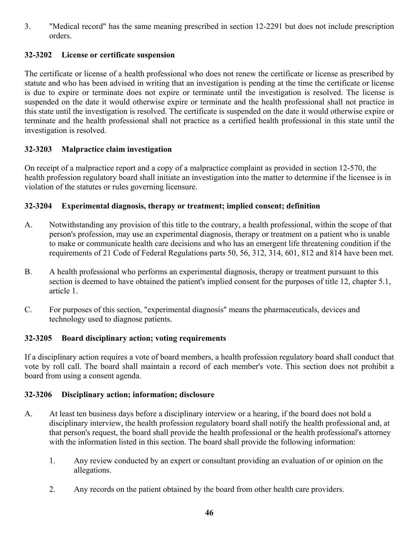3. "Medical record" has the same meaning prescribed in section 12-2291 but does not include prescription orders.

#### **32-3202 License or certificate suspension**

The certificate or license of a health professional who does not renew the certificate or license as prescribed by statute and who has been advised in writing that an investigation is pending at the time the certificate or license is due to expire or terminate does not expire or terminate until the investigation is resolved. The license is suspended on the date it would otherwise expire or terminate and the health professional shall not practice in this state until the investigation is resolved. The certificate is suspended on the date it would otherwise expire or terminate and the health professional shall not practice as a certified health professional in this state until the investigation is resolved.

#### **32-3203 Malpractice claim investigation**

On receipt of a malpractice report and a copy of a malpractice complaint as provided in section 12-570, the health profession regulatory board shall initiate an investigation into the matter to determine if the licensee is in violation of the statutes or rules governing licensure.

#### **32-3204 Experimental diagnosis, therapy or treatment; implied consent; definition**

- A. Notwithstanding any provision of this title to the contrary, a health professional, within the scope of that person's profession, may use an experimental diagnosis, therapy or treatment on a patient who is unable to make or communicate health care decisions and who has an emergent life threatening condition if the requirements of 21 Code of Federal Regulations parts 50, 56, 312, 314, 601, 812 and 814 have been met.
- B. A health professional who performs an experimental diagnosis, therapy or treatment pursuant to this section is deemed to have obtained the patient's implied consent for the purposes of title 12, chapter 5.1, article 1.
- C. For purposes of this section, "experimental diagnosis" means the pharmaceuticals, devices and technology used to diagnose patients.

#### **32-3205 Board disciplinary action; voting requirements**

If a disciplinary action requires a vote of board members, a health profession regulatory board shall conduct that vote by roll call. The board shall maintain a record of each member's vote. This section does not prohibit a board from using a consent agenda.

#### **32-3206 Disciplinary action; information; disclosure**

- A. At least ten business days before a disciplinary interview or a hearing, if the board does not hold a disciplinary interview, the health profession regulatory board shall notify the health professional and, at that person's request, the board shall provide the health professional or the health professional's attorney with the information listed in this section. The board shall provide the following information:
	- 1. Any review conducted by an expert or consultant providing an evaluation of or opinion on the allegations.
	- 2. Any records on the patient obtained by the board from other health care providers.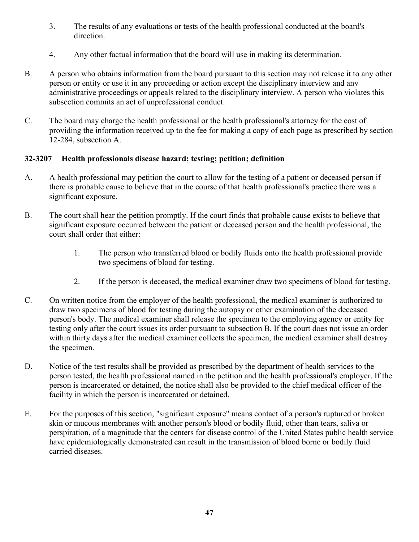- 3. The results of any evaluations or tests of the health professional conducted at the board's direction.
- 4. Any other factual information that the board will use in making its determination.
- B. A person who obtains information from the board pursuant to this section may not release it to any other person or entity or use it in any proceeding or action except the disciplinary interview and any administrative proceedings or appeals related to the disciplinary interview. A person who violates this subsection commits an act of unprofessional conduct.
- C. The board may charge the health professional or the health professional's attorney for the cost of providing the information received up to the fee for making a copy of each page as prescribed by section 12-284, subsection A.

#### **32-3207 Health professionals disease hazard; testing; petition; definition**

- A. A health professional may petition the court to allow for the testing of a patient or deceased person if there is probable cause to believe that in the course of that health professional's practice there was a significant exposure.
- B. The court shall hear the petition promptly. If the court finds that probable cause exists to believe that significant exposure occurred between the patient or deceased person and the health professional, the court shall order that either:
	- 1. The person who transferred blood or bodily fluids onto the health professional provide two specimens of blood for testing.
	- 2. If the person is deceased, the medical examiner draw two specimens of blood for testing.
- C. On written notice from the employer of the health professional, the medical examiner is authorized to draw two specimens of blood for testing during the autopsy or other examination of the deceased person's body. The medical examiner shall release the specimen to the employing agency or entity for testing only after the court issues its order pursuant to subsection B. If the court does not issue an order within thirty days after the medical examiner collects the specimen, the medical examiner shall destroy the specimen.
- D. Notice of the test results shall be provided as prescribed by the department of health services to the person tested, the health professional named in the petition and the health professional's employer. If the person is incarcerated or detained, the notice shall also be provided to the chief medical officer of the facility in which the person is incarcerated or detained.
- E. For the purposes of this section, "significant exposure" means contact of a person's ruptured or broken skin or mucous membranes with another person's blood or bodily fluid, other than tears, saliva or perspiration, of a magnitude that the centers for disease control of the United States public health service have epidemiologically demonstrated can result in the transmission of blood borne or bodily fluid carried diseases.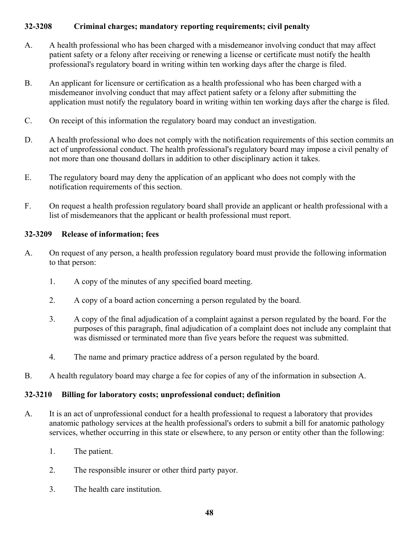#### **32-3208 Criminal charges; mandatory reporting requirements; civil penalty**

- A. A health professional who has been charged with a misdemeanor involving conduct that may affect patient safety or a felony after receiving or renewing a license or certificate must notify the health professional's regulatory board in writing within ten working days after the charge is filed.
- B. An applicant for licensure or certification as a health professional who has been charged with a misdemeanor involving conduct that may affect patient safety or a felony after submitting the application must notify the regulatory board in writing within ten working days after the charge is filed.
- C. On receipt of this information the regulatory board may conduct an investigation.
- D. A health professional who does not comply with the notification requirements of this section commits an act of unprofessional conduct. The health professional's regulatory board may impose a civil penalty of not more than one thousand dollars in addition to other disciplinary action it takes.
- E. The regulatory board may deny the application of an applicant who does not comply with the notification requirements of this section.
- F. On request a health profession regulatory board shall provide an applicant or health professional with a list of misdemeanors that the applicant or health professional must report.

#### **32-3209 Release of information; fees**

- A. On request of any person, a health profession regulatory board must provide the following information to that person:
	- 1. A copy of the minutes of any specified board meeting.
	- 2. A copy of a board action concerning a person regulated by the board.
	- 3. A copy of the final adjudication of a complaint against a person regulated by the board. For the purposes of this paragraph, final adjudication of a complaint does not include any complaint that was dismissed or terminated more than five years before the request was submitted.
	- 4. The name and primary practice address of a person regulated by the board.
- B. A health regulatory board may charge a fee for copies of any of the information in subsection A.

#### **32-3210 Billing for laboratory costs; unprofessional conduct; definition**

- A. It is an act of unprofessional conduct for a health professional to request a laboratory that provides anatomic pathology services at the health professional's orders to submit a bill for anatomic pathology services, whether occurring in this state or elsewhere, to any person or entity other than the following:
	- 1. The patient.
	- 2. The responsible insurer or other third party payor.
	- 3. The health care institution.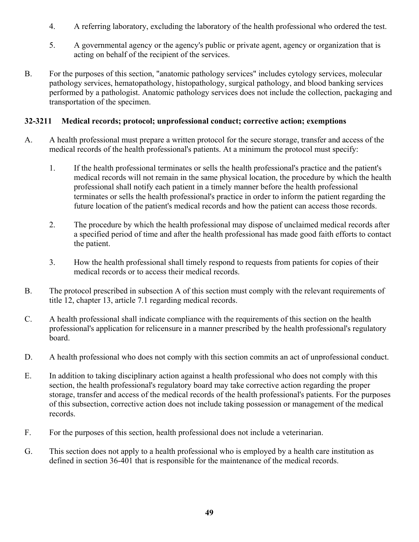- 4. A referring laboratory, excluding the laboratory of the health professional who ordered the test.
- 5. A governmental agency or the agency's public or private agent, agency or organization that is acting on behalf of the recipient of the services.
- B. For the purposes of this section, "anatomic pathology services" includes cytology services, molecular pathology services, hematopathology, histopathology, surgical pathology, and blood banking services performed by a pathologist. Anatomic pathology services does not include the collection, packaging and transportation of the specimen.

#### **32-3211 Medical records; protocol; unprofessional conduct; corrective action; exemptions**

- A. A health professional must prepare a written protocol for the secure storage, transfer and access of the medical records of the health professional's patients. At a minimum the protocol must specify:
	- 1. If the health professional terminates or sells the health professional's practice and the patient's medical records will not remain in the same physical location, the procedure by which the health professional shall notify each patient in a timely manner before the health professional terminates or sells the health professional's practice in order to inform the patient regarding the future location of the patient's medical records and how the patient can access those records.
	- 2. The procedure by which the health professional may dispose of unclaimed medical records after a specified period of time and after the health professional has made good faith efforts to contact the patient.
	- 3. How the health professional shall timely respond to requests from patients for copies of their medical records or to access their medical records.
- B. The protocol prescribed in subsection A of this section must comply with the relevant requirements of title 12, chapter 13, article 7.1 regarding medical records.
- C. A health professional shall indicate compliance with the requirements of this section on the health professional's application for relicensure in a manner prescribed by the health professional's regulatory board.
- D. A health professional who does not comply with this section commits an act of unprofessional conduct.
- E. In addition to taking disciplinary action against a health professional who does not comply with this section, the health professional's regulatory board may take corrective action regarding the proper storage, transfer and access of the medical records of the health professional's patients. For the purposes of this subsection, corrective action does not include taking possession or management of the medical records.
- F. For the purposes of this section, health professional does not include a veterinarian.
- G. This section does not apply to a health professional who is employed by a health care institution as defined in section 36-401 that is responsible for the maintenance of the medical records.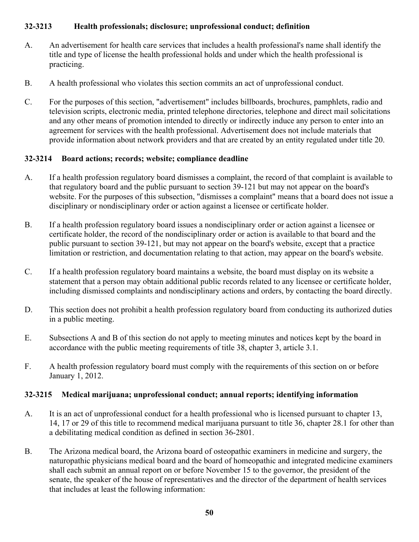#### **32-3213 Health professionals; disclosure; unprofessional conduct; definition**

- A. An advertisement for health care services that includes a health professional's name shall identify the title and type of license the health professional holds and under which the health professional is practicing.
- B. A health professional who violates this section commits an act of unprofessional conduct.
- C. For the purposes of this section, "advertisement" includes billboards, brochures, pamphlets, radio and television scripts, electronic media, printed telephone directories, telephone and direct mail solicitations and any other means of promotion intended to directly or indirectly induce any person to enter into an agreement for services with the health professional. Advertisement does not include materials that provide information about network providers and that are created by an entity regulated under title 20.

#### **32-3214 Board actions; records; website; compliance deadline**

- A. If a health profession regulatory board dismisses a complaint, the record of that complaint is available to that regulatory board and the public pursuant to section 39-121 but may not appear on the board's website. For the purposes of this subsection, "dismisses a complaint" means that a board does not issue a disciplinary or nondisciplinary order or action against a licensee or certificate holder.
- B. If a health profession regulatory board issues a nondisciplinary order or action against a licensee or certificate holder, the record of the nondisciplinary order or action is available to that board and the public pursuant to section 39-121, but may not appear on the board's website, except that a practice limitation or restriction, and documentation relating to that action, may appear on the board's website.
- C. If a health profession regulatory board maintains a website, the board must display on its website a statement that a person may obtain additional public records related to any licensee or certificate holder, including dismissed complaints and nondisciplinary actions and orders, by contacting the board directly.
- D. This section does not prohibit a health profession regulatory board from conducting its authorized duties in a public meeting.
- E. Subsections A and B of this section do not apply to meeting minutes and notices kept by the board in accordance with the public meeting requirements of title 38, chapter 3, article 3.1.
- F. A health profession regulatory board must comply with the requirements of this section on or before January 1, 2012.

#### **32-3215 Medical marijuana; unprofessional conduct; annual reports; identifying information**

- A. It is an act of unprofessional conduct for a health professional who is licensed pursuant to chapter 13, 14, 17 or 29 of this title to recommend medical marijuana pursuant to title 36, chapter 28.1 for other than a debilitating medical condition as defined in section 36-2801.
- B. The Arizona medical board, the Arizona board of osteopathic examiners in medicine and surgery, the naturopathic physicians medical board and the board of homeopathic and integrated medicine examiners shall each submit an annual report on or before November 15 to the governor, the president of the senate, the speaker of the house of representatives and the director of the department of health services that includes at least the following information: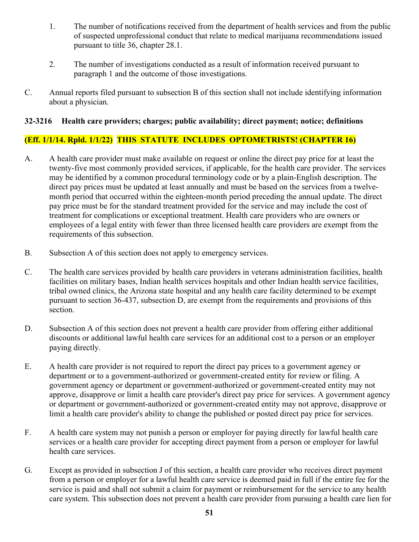- 1. The number of notifications received from the department of health services and from the public of suspected unprofessional conduct that relate to medical marijuana recommendations issued pursuant to title 36, chapter 28.1.
- 2. The number of investigations conducted as a result of information received pursuant to paragraph 1 and the outcome of those investigations.
- C. Annual reports filed pursuant to subsection B of this section shall not include identifying information about a physician.

#### **32-3216 Health care providers; charges; public availability; direct payment; notice; definitions**

#### **(Eff. 1/1/14. Rpld. 1/1/22) THIS STATUTE INCLUDES OPTOMETRISTS! (CHAPTER 16)**

- A. A health care provider must make available on request or online the direct pay price for at least the twenty-five most commonly provided services, if applicable, for the health care provider. The services may be identified by a common procedural terminology code or by a plain-English description. The direct pay prices must be updated at least annually and must be based on the services from a twelvemonth period that occurred within the eighteen-month period preceding the annual update. The direct pay price must be for the standard treatment provided for the service and may include the cost of treatment for complications or exceptional treatment. Health care providers who are owners or employees of a legal entity with fewer than three licensed health care providers are exempt from the requirements of this subsection.
- B. Subsection A of this section does not apply to emergency services.
- C. The health care services provided by health care providers in veterans administration facilities, health facilities on military bases, Indian health services hospitals and other Indian health service facilities, tribal owned clinics, the Arizona state hospital and any health care facility determined to be exempt pursuant to section 36-437, subsection D, are exempt from the requirements and provisions of this section.
- D. Subsection A of this section does not prevent a health care provider from offering either additional discounts or additional lawful health care services for an additional cost to a person or an employer paying directly.
- E. A health care provider is not required to report the direct pay prices to a government agency or department or to a government-authorized or government-created entity for review or filing. A government agency or department or government-authorized or government-created entity may not approve, disapprove or limit a health care provider's direct pay price for services. A government agency or department or government-authorized or government-created entity may not approve, disapprove or limit a health care provider's ability to change the published or posted direct pay price for services.
- F. A health care system may not punish a person or employer for paying directly for lawful health care services or a health care provider for accepting direct payment from a person or employer for lawful health care services.
- G. Except as provided in subsection J of this section, a health care provider who receives direct payment from a person or employer for a lawful health care service is deemed paid in full if the entire fee for the service is paid and shall not submit a claim for payment or reimbursement for the service to any health care system. This subsection does not prevent a health care provider from pursuing a health care lien for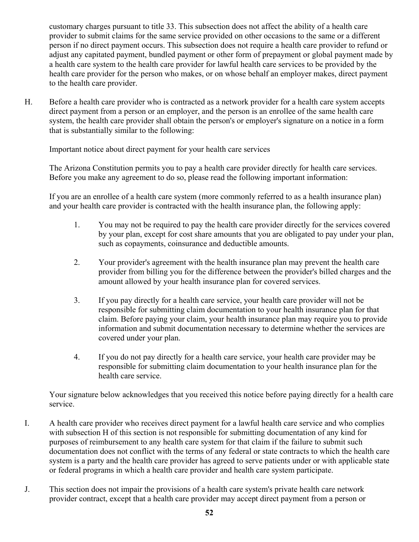customary charges pursuant to title 33. This subsection does not affect the ability of a health care provider to submit claims for the same service provided on other occasions to the same or a different person if no direct payment occurs. This subsection does not require a health care provider to refund or adjust any capitated payment, bundled payment or other form of prepayment or global payment made by a health care system to the health care provider for lawful health care services to be provided by the health care provider for the person who makes, or on whose behalf an employer makes, direct payment to the health care provider.

H. Before a health care provider who is contracted as a network provider for a health care system accepts direct payment from a person or an employer, and the person is an enrollee of the same health care system, the health care provider shall obtain the person's or employer's signature on a notice in a form that is substantially similar to the following:

Important notice about direct payment for your health care services

The Arizona Constitution permits you to pay a health care provider directly for health care services. Before you make any agreement to do so, please read the following important information:

If you are an enrollee of a health care system (more commonly referred to as a health insurance plan) and your health care provider is contracted with the health insurance plan, the following apply:

- 1. You may not be required to pay the health care provider directly for the services covered by your plan, except for cost share amounts that you are obligated to pay under your plan, such as copayments, coinsurance and deductible amounts.
- 2. Your provider's agreement with the health insurance plan may prevent the health care provider from billing you for the difference between the provider's billed charges and the amount allowed by your health insurance plan for covered services.
- 3. If you pay directly for a health care service, your health care provider will not be responsible for submitting claim documentation to your health insurance plan for that claim. Before paying your claim, your health insurance plan may require you to provide information and submit documentation necessary to determine whether the services are covered under your plan.
- 4. If you do not pay directly for a health care service, your health care provider may be responsible for submitting claim documentation to your health insurance plan for the health care service.

Your signature below acknowledges that you received this notice before paying directly for a health care service.

- I. A health care provider who receives direct payment for a lawful health care service and who complies with subsection H of this section is not responsible for submitting documentation of any kind for purposes of reimbursement to any health care system for that claim if the failure to submit such documentation does not conflict with the terms of any federal or state contracts to which the health care system is a party and the health care provider has agreed to serve patients under or with applicable state or federal programs in which a health care provider and health care system participate.
- J. This section does not impair the provisions of a health care system's private health care network provider contract, except that a health care provider may accept direct payment from a person or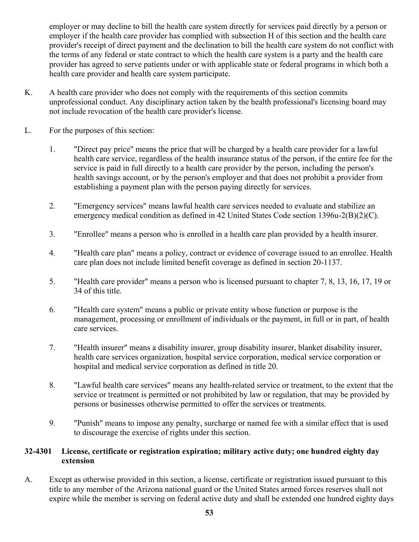employer or may decline to bill the health care system directly for services paid directly by a person or employer if the health care provider has complied with subsection H of this section and the health care provider's receipt of direct payment and the declination to bill the health care system do not conflict with the terms of any federal or state contract to which the health care system is a party and the health care provider has agreed to serve patients under or with applicable state or federal programs in which both a health care provider and health care system participate.

- K. A health care provider who does not comply with the requirements of this section commits unprofessional conduct. Any disciplinary action taken by the health professional's licensing board may not include revocation of the health care provider's license.
- L. For the purposes of this section:
	- 1. "Direct pay price" means the price that will be charged by a health care provider for a lawful health care service, regardless of the health insurance status of the person, if the entire fee for the service is paid in full directly to a health care provider by the person, including the person's health savings account, or by the person's employer and that does not prohibit a provider from establishing a payment plan with the person paying directly for services.
	- 2. "Emergency services" means lawful health care services needed to evaluate and stabilize an emergency medical condition as defined in 42 United States Code section 1396u-2(B)(2)(C).
	- 3. "Enrollee" means a person who is enrolled in a health care plan provided by a health insurer.
	- 4. "Health care plan" means a policy, contract or evidence of coverage issued to an enrollee. Health care plan does not include limited benefit coverage as defined in section 20-1137.
	- 5. "Health care provider" means a person who is licensed pursuant to chapter 7, 8, 13, 16, 17, 19 or 34 of this title.
	- 6. "Health care system" means a public or private entity whose function or purpose is the management, processing or enrollment of individuals or the payment, in full or in part, of health care services.
	- 7. "Health insurer" means a disability insurer, group disability insurer, blanket disability insurer, health care services organization, hospital service corporation, medical service corporation or hospital and medical service corporation as defined in title 20.
	- 8. "Lawful health care services" means any health-related service or treatment, to the extent that the service or treatment is permitted or not prohibited by law or regulation, that may be provided by persons or businesses otherwise permitted to offer the services or treatments.
	- 9. "Punish" means to impose any penalty, surcharge or named fee with a similar effect that is used to discourage the exercise of rights under this section.

#### **32-4301 License, certificate or registration expiration; military active duty; one hundred eighty day extension**

A. Except as otherwise provided in this section, a license, certificate or registration issued pursuant to this title to any member of the Arizona national guard or the United States armed forces reserves shall not expire while the member is serving on federal active duty and shall be extended one hundred eighty days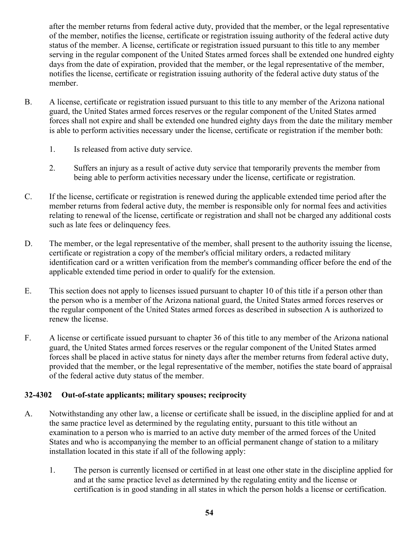after the member returns from federal active duty, provided that the member, or the legal representative of the member, notifies the license, certificate or registration issuing authority of the federal active duty status of the member. A license, certificate or registration issued pursuant to this title to any member serving in the regular component of the United States armed forces shall be extended one hundred eighty days from the date of expiration, provided that the member, or the legal representative of the member, notifies the license, certificate or registration issuing authority of the federal active duty status of the member.

- B. A license, certificate or registration issued pursuant to this title to any member of the Arizona national guard, the United States armed forces reserves or the regular component of the United States armed forces shall not expire and shall be extended one hundred eighty days from the date the military member is able to perform activities necessary under the license, certificate or registration if the member both:
	- 1. Is released from active duty service.
	- 2. Suffers an injury as a result of active duty service that temporarily prevents the member from being able to perform activities necessary under the license, certificate or registration.
- C. If the license, certificate or registration is renewed during the applicable extended time period after the member returns from federal active duty, the member is responsible only for normal fees and activities relating to renewal of the license, certificate or registration and shall not be charged any additional costs such as late fees or delinquency fees.
- D. The member, or the legal representative of the member, shall present to the authority issuing the license, certificate or registration a copy of the member's official military orders, a redacted military identification card or a written verification from the member's commanding officer before the end of the applicable extended time period in order to qualify for the extension.
- E. This section does not apply to licenses issued pursuant to chapter 10 of this title if a person other than the person who is a member of the Arizona national guard, the United States armed forces reserves or the regular component of the United States armed forces as described in subsection A is authorized to renew the license.
- F. A license or certificate issued pursuant to chapter 36 of this title to any member of the Arizona national guard, the United States armed forces reserves or the regular component of the United States armed forces shall be placed in active status for ninety days after the member returns from federal active duty, provided that the member, or the legal representative of the member, notifies the state board of appraisal of the federal active duty status of the member.

#### **32-4302 Out-of-state applicants; military spouses; reciprocity**

- A. Notwithstanding any other law, a license or certificate shall be issued, in the discipline applied for and at the same practice level as determined by the regulating entity, pursuant to this title without an examination to a person who is married to an active duty member of the armed forces of the United States and who is accompanying the member to an official permanent change of station to a military installation located in this state if all of the following apply:
	- 1. The person is currently licensed or certified in at least one other state in the discipline applied for and at the same practice level as determined by the regulating entity and the license or certification is in good standing in all states in which the person holds a license or certification.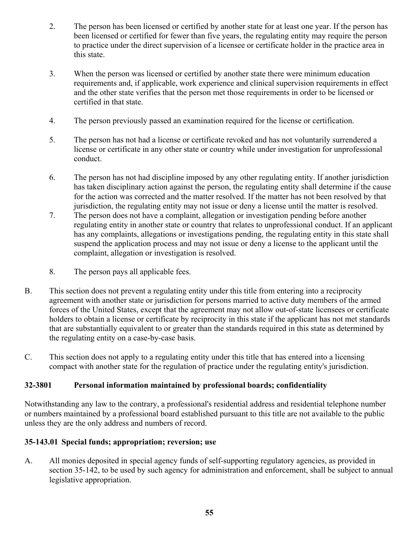- 2. The person has been licensed or certified by another state for at least one year. If the person has been licensed or certified for fewer than five years, the regulating entity may require the person to practice under the direct supervision of a licensee or certificate holder in the practice area in this state.
- 3. When the person was licensed or certified by another state there were minimum education requirements and, if applicable, work experience and clinical supervision requirements in effect and the other state verifies that the person met those requirements in order to be licensed or certified in that state.
- 4. The person previously passed an examination required for the license or certification.
- 5. The person has not had a license or certificate revoked and has not voluntarily surrendered a license or certificate in any other state or country while under investigation for unprofessional conduct.
- 6. The person has not had discipline imposed by any other regulating entity. If another jurisdiction has taken disciplinary action against the person, the regulating entity shall determine if the cause for the action was corrected and the matter resolved. If the matter has not been resolved by that jurisdiction, the regulating entity may not issue or deny a license until the matter is resolved.
- 7. The person does not have a complaint, allegation or investigation pending before another regulating entity in another state or country that relates to unprofessional conduct. If an applicant has any complaints, allegations or investigations pending, the regulating entity in this state shall suspend the application process and may not issue or deny a license to the applicant until the complaint, allegation or investigation is resolved.
- 8. The person pays all applicable fees.
- B. This section does not prevent a regulating entity under this title from entering into a reciprocity agreement with another state or jurisdiction for persons married to active duty members of the armed forces of the United States, except that the agreement may not allow out-of-state licensees or certificate holders to obtain a license or certificate by reciprocity in this state if the applicant has not met standards that are substantially equivalent to or greater than the standards required in this state as determined by the regulating entity on a case-by-case basis.
- C. This section does not apply to a regulating entity under this title that has entered into a licensing compact with another state for the regulation of practice under the regulating entity's jurisdiction.

#### **32-3801 Personal information maintained by professional boards; confidentiality**

Notwithstanding any law to the contrary, a professional's residential address and residential telephone number or numbers maintained by a professional board established pursuant to this title are not available to the public unless they are the only address and numbers of record.

#### **35-143.01 Special funds; appropriation; reversion; use**

A. All monies deposited in special agency funds of self-supporting regulatory agencies, as provided in section 35-142, to be used by such agency for administration and enforcement, shall be subject to annual legislative appropriation.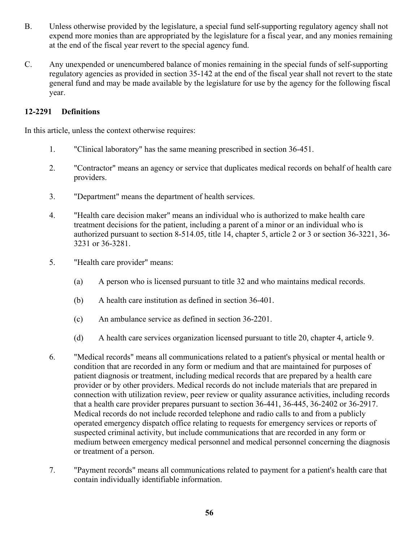- B. Unless otherwise provided by the legislature, a special fund self-supporting regulatory agency shall not expend more monies than are appropriated by the legislature for a fiscal year, and any monies remaining at the end of the fiscal year revert to the special agency fund.
- C. Any unexpended or unencumbered balance of monies remaining in the special funds of self-supporting regulatory agencies as provided in section 35-142 at the end of the fiscal year shall not revert to the state general fund and may be made available by the legislature for use by the agency for the following fiscal year.

#### **12-2291 Definitions**

In this article, unless the context otherwise requires:

- 1. "Clinical laboratory" has the same meaning prescribed in section 36-451.
- 2. "Contractor" means an agency or service that duplicates medical records on behalf of health care providers.
- 3. "Department" means the department of health services.
- 4. "Health care decision maker" means an individual who is authorized to make health care treatment decisions for the patient, including a parent of a minor or an individual who is authorized pursuant to section 8-514.05, title 14, chapter 5, article 2 or 3 or section 36-3221, 36- 3231 or 36-3281.
- 5. "Health care provider" means:
	- (a) A person who is licensed pursuant to title 32 and who maintains medical records.
	- (b) A health care institution as defined in section 36-401.
	- (c) An ambulance service as defined in section 36-2201.
	- (d) A health care services organization licensed pursuant to title 20, chapter 4, article 9.
- 6. "Medical records" means all communications related to a patient's physical or mental health or condition that are recorded in any form or medium and that are maintained for purposes of patient diagnosis or treatment, including medical records that are prepared by a health care provider or by other providers. Medical records do not include materials that are prepared in connection with utilization review, peer review or quality assurance activities, including records that a health care provider prepares pursuant to section 36-441, 36-445, 36-2402 or 36-2917. Medical records do not include recorded telephone and radio calls to and from a publicly operated emergency dispatch office relating to requests for emergency services or reports of suspected criminal activity, but include communications that are recorded in any form or medium between emergency medical personnel and medical personnel concerning the diagnosis or treatment of a person.
- 7. "Payment records" means all communications related to payment for a patient's health care that contain individually identifiable information.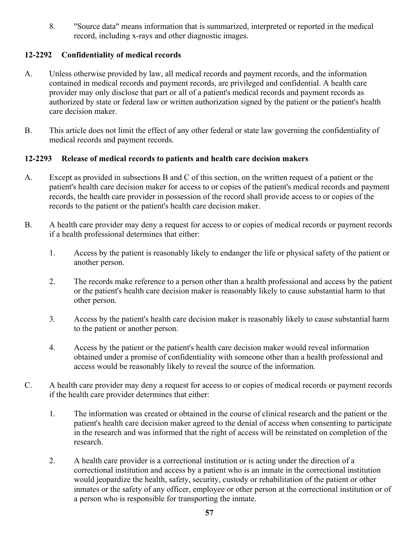8. "Source data" means information that is summarized, interpreted or reported in the medical record, including x-rays and other diagnostic images.

#### **12-2292 Confidentiality of medical records**

- A. Unless otherwise provided by law, all medical records and payment records, and the information contained in medical records and payment records, are privileged and confidential. A health care provider may only disclose that part or all of a patient's medical records and payment records as authorized by state or federal law or written authorization signed by the patient or the patient's health care decision maker.
- B. This article does not limit the effect of any other federal or state law governing the confidentiality of medical records and payment records.

#### **12-2293 Release of medical records to patients and health care decision makers**

- A. Except as provided in subsections B and C of this section, on the written request of a patient or the patient's health care decision maker for access to or copies of the patient's medical records and payment records, the health care provider in possession of the record shall provide access to or copies of the records to the patient or the patient's health care decision maker.
- B. A health care provider may deny a request for access to or copies of medical records or payment records if a health professional determines that either:
	- 1. Access by the patient is reasonably likely to endanger the life or physical safety of the patient or another person.
	- 2. The records make reference to a person other than a health professional and access by the patient or the patient's health care decision maker is reasonably likely to cause substantial harm to that other person.
	- 3. Access by the patient's health care decision maker is reasonably likely to cause substantial harm to the patient or another person.
	- 4. Access by the patient or the patient's health care decision maker would reveal information obtained under a promise of confidentiality with someone other than a health professional and access would be reasonably likely to reveal the source of the information.
- C. A health care provider may deny a request for access to or copies of medical records or payment records if the health care provider determines that either:
	- 1. The information was created or obtained in the course of clinical research and the patient or the patient's health care decision maker agreed to the denial of access when consenting to participate in the research and was informed that the right of access will be reinstated on completion of the research.
	- 2. A health care provider is a correctional institution or is acting under the direction of a correctional institution and access by a patient who is an inmate in the correctional institution would jeopardize the health, safety, security, custody or rehabilitation of the patient or other inmates or the safety of any officer, employee or other person at the correctional institution or of a person who is responsible for transporting the inmate.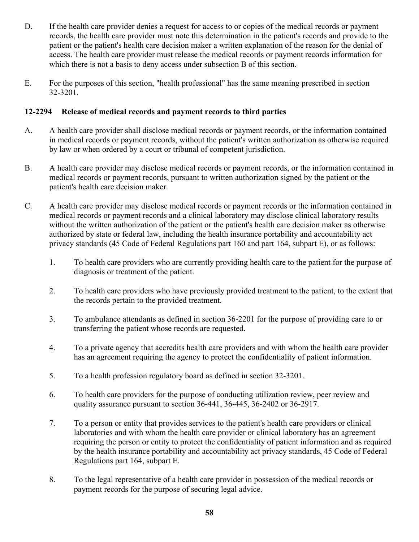- D. If the health care provider denies a request for access to or copies of the medical records or payment records, the health care provider must note this determination in the patient's records and provide to the patient or the patient's health care decision maker a written explanation of the reason for the denial of access. The health care provider must release the medical records or payment records information for which there is not a basis to deny access under subsection B of this section.
- E. For the purposes of this section, "health professional" has the same meaning prescribed in section 32-3201.

#### **12-2294 Release of medical records and payment records to third parties**

- A. A health care provider shall disclose medical records or payment records, or the information contained in medical records or payment records, without the patient's written authorization as otherwise required by law or when ordered by a court or tribunal of competent jurisdiction.
- B. A health care provider may disclose medical records or payment records, or the information contained in medical records or payment records, pursuant to written authorization signed by the patient or the patient's health care decision maker.
- C. A health care provider may disclose medical records or payment records or the information contained in medical records or payment records and a clinical laboratory may disclose clinical laboratory results without the written authorization of the patient or the patient's health care decision maker as otherwise authorized by state or federal law, including the health insurance portability and accountability act privacy standards (45 Code of Federal Regulations part 160 and part 164, subpart E), or as follows:
	- 1. To health care providers who are currently providing health care to the patient for the purpose of diagnosis or treatment of the patient.
	- 2. To health care providers who have previously provided treatment to the patient, to the extent that the records pertain to the provided treatment.
	- 3. To ambulance attendants as defined in section 36-2201 for the purpose of providing care to or transferring the patient whose records are requested.
	- 4. To a private agency that accredits health care providers and with whom the health care provider has an agreement requiring the agency to protect the confidentiality of patient information.
	- 5. To a health profession regulatory board as defined in section 32-3201.
	- 6. To health care providers for the purpose of conducting utilization review, peer review and quality assurance pursuant to section 36-441, 36-445, 36-2402 or 36-2917.
	- 7. To a person or entity that provides services to the patient's health care providers or clinical laboratories and with whom the health care provider or clinical laboratory has an agreement requiring the person or entity to protect the confidentiality of patient information and as required by the health insurance portability and accountability act privacy standards, 45 Code of Federal Regulations part 164, subpart E.
	- 8. To the legal representative of a health care provider in possession of the medical records or payment records for the purpose of securing legal advice.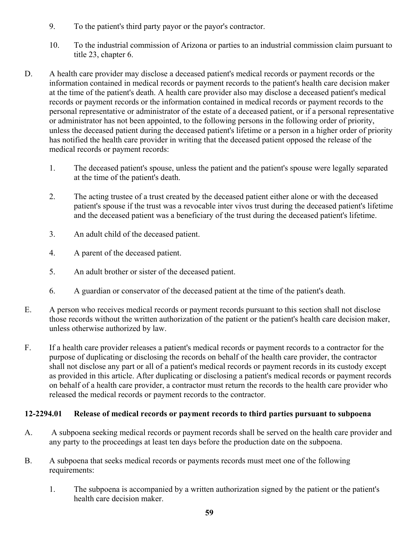- 9. To the patient's third party payor or the payor's contractor.
- 10. To the industrial commission of Arizona or parties to an industrial commission claim pursuant to title 23, chapter 6.
- D. A health care provider may disclose a deceased patient's medical records or payment records or the information contained in medical records or payment records to the patient's health care decision maker at the time of the patient's death. A health care provider also may disclose a deceased patient's medical records or payment records or the information contained in medical records or payment records to the personal representative or administrator of the estate of a deceased patient, or if a personal representative or administrator has not been appointed, to the following persons in the following order of priority, unless the deceased patient during the deceased patient's lifetime or a person in a higher order of priority has notified the health care provider in writing that the deceased patient opposed the release of the medical records or payment records:
	- 1. The deceased patient's spouse, unless the patient and the patient's spouse were legally separated at the time of the patient's death.
	- 2. The acting trustee of a trust created by the deceased patient either alone or with the deceased patient's spouse if the trust was a revocable inter vivos trust during the deceased patient's lifetime and the deceased patient was a beneficiary of the trust during the deceased patient's lifetime.
	- 3. An adult child of the deceased patient.
	- 4. A parent of the deceased patient.
	- 5. An adult brother or sister of the deceased patient.
	- 6. A guardian or conservator of the deceased patient at the time of the patient's death.
- E. A person who receives medical records or payment records pursuant to this section shall not disclose those records without the written authorization of the patient or the patient's health care decision maker, unless otherwise authorized by law.
- F. If a health care provider releases a patient's medical records or payment records to a contractor for the purpose of duplicating or disclosing the records on behalf of the health care provider, the contractor shall not disclose any part or all of a patient's medical records or payment records in its custody except as provided in this article. After duplicating or disclosing a patient's medical records or payment records on behalf of a health care provider, a contractor must return the records to the health care provider who released the medical records or payment records to the contractor.

#### **12-2294.01 Release of medical records or payment records to third parties pursuant to subpoena**

- A. A subpoena seeking medical records or payment records shall be served on the health care provider and any party to the proceedings at least ten days before the production date on the subpoena.
- B. A subpoena that seeks medical records or payments records must meet one of the following requirements:
	- 1. The subpoena is accompanied by a written authorization signed by the patient or the patient's health care decision maker.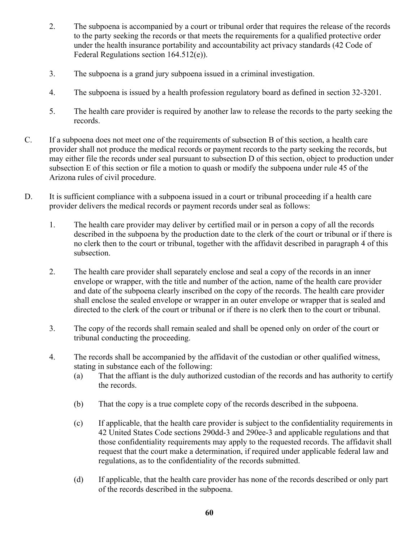- 2. The subpoena is accompanied by a court or tribunal order that requires the release of the records to the party seeking the records or that meets the requirements for a qualified protective order under the health insurance portability and accountability act privacy standards (42 Code of Federal Regulations section 164.512(e)).
- 3. The subpoena is a grand jury subpoena issued in a criminal investigation.
- 4. The subpoena is issued by a health profession regulatory board as defined in section 32-3201.
- 5. The health care provider is required by another law to release the records to the party seeking the records.
- C. If a subpoena does not meet one of the requirements of subsection B of this section, a health care provider shall not produce the medical records or payment records to the party seeking the records, but may either file the records under seal pursuant to subsection D of this section, object to production under subsection E of this section or file a motion to quash or modify the subpoena under rule 45 of the Arizona rules of civil procedure.
- D. It is sufficient compliance with a subpoena issued in a court or tribunal proceeding if a health care provider delivers the medical records or payment records under seal as follows:
	- 1. The health care provider may deliver by certified mail or in person a copy of all the records described in the subpoena by the production date to the clerk of the court or tribunal or if there is no clerk then to the court or tribunal, together with the affidavit described in paragraph 4 of this subsection.
	- 2. The health care provider shall separately enclose and seal a copy of the records in an inner envelope or wrapper, with the title and number of the action, name of the health care provider and date of the subpoena clearly inscribed on the copy of the records. The health care provider shall enclose the sealed envelope or wrapper in an outer envelope or wrapper that is sealed and directed to the clerk of the court or tribunal or if there is no clerk then to the court or tribunal.
	- 3. The copy of the records shall remain sealed and shall be opened only on order of the court or tribunal conducting the proceeding.
	- 4. The records shall be accompanied by the affidavit of the custodian or other qualified witness, stating in substance each of the following:
		- (a) That the affiant is the duly authorized custodian of the records and has authority to certify the records.
		- (b) That the copy is a true complete copy of the records described in the subpoena.
		- (c) If applicable, that the health care provider is subject to the confidentiality requirements in 42 United States Code sections 290dd-3 and 290ee-3 and applicable regulations and that those confidentiality requirements may apply to the requested records. The affidavit shall request that the court make a determination, if required under applicable federal law and regulations, as to the confidentiality of the records submitted.
		- (d) If applicable, that the health care provider has none of the records described or only part of the records described in the subpoena.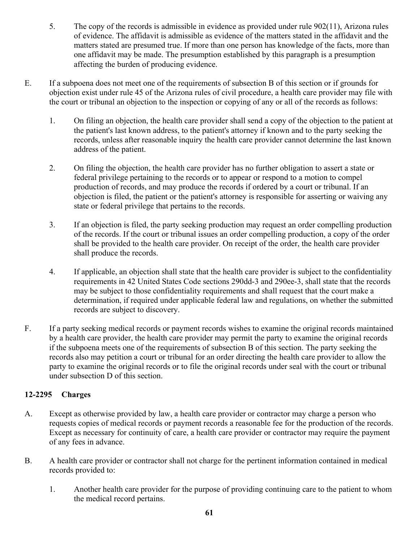- 5. The copy of the records is admissible in evidence as provided under rule 902(11), Arizona rules of evidence. The affidavit is admissible as evidence of the matters stated in the affidavit and the matters stated are presumed true. If more than one person has knowledge of the facts, more than one affidavit may be made. The presumption established by this paragraph is a presumption affecting the burden of producing evidence.
- E. If a subpoena does not meet one of the requirements of subsection B of this section or if grounds for objection exist under rule 45 of the Arizona rules of civil procedure, a health care provider may file with the court or tribunal an objection to the inspection or copying of any or all of the records as follows:
	- 1. On filing an objection, the health care provider shall send a copy of the objection to the patient at the patient's last known address, to the patient's attorney if known and to the party seeking the records, unless after reasonable inquiry the health care provider cannot determine the last known address of the patient.
	- 2. On filing the objection, the health care provider has no further obligation to assert a state or federal privilege pertaining to the records or to appear or respond to a motion to compel production of records, and may produce the records if ordered by a court or tribunal. If an objection is filed, the patient or the patient's attorney is responsible for asserting or waiving any state or federal privilege that pertains to the records.
	- 3. If an objection is filed, the party seeking production may request an order compelling production of the records. If the court or tribunal issues an order compelling production, a copy of the order shall be provided to the health care provider. On receipt of the order, the health care provider shall produce the records.
	- 4. If applicable, an objection shall state that the health care provider is subject to the confidentiality requirements in 42 United States Code sections 290dd-3 and 290ee-3, shall state that the records may be subject to those confidentiality requirements and shall request that the court make a determination, if required under applicable federal law and regulations, on whether the submitted records are subject to discovery.
- F. If a party seeking medical records or payment records wishes to examine the original records maintained by a health care provider, the health care provider may permit the party to examine the original records if the subpoena meets one of the requirements of subsection B of this section. The party seeking the records also may petition a court or tribunal for an order directing the health care provider to allow the party to examine the original records or to file the original records under seal with the court or tribunal under subsection D of this section.

#### **12-2295 Charges**

- A. Except as otherwise provided by law, a health care provider or contractor may charge a person who requests copies of medical records or payment records a reasonable fee for the production of the records. Except as necessary for continuity of care, a health care provider or contractor may require the payment of any fees in advance.
- B. A health care provider or contractor shall not charge for the pertinent information contained in medical records provided to:
	- 1. Another health care provider for the purpose of providing continuing care to the patient to whom the medical record pertains.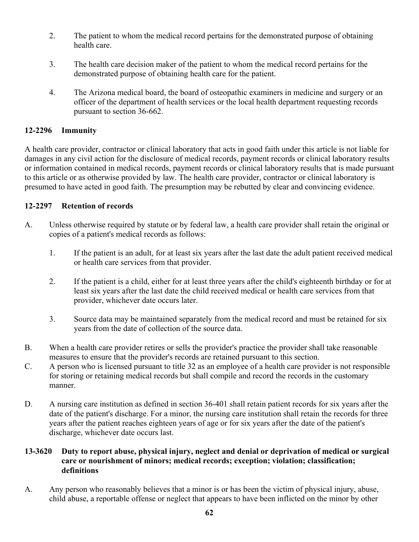- 2. The patient to whom the medical record pertains for the demonstrated purpose of obtaining health care.
- 3. The health care decision maker of the patient to whom the medical record pertains for the demonstrated purpose of obtaining health care for the patient.
- 4. The Arizona medical board, the board of osteopathic examiners in medicine and surgery or an officer of the department of health services or the local health department requesting records pursuant to section 36-662.

#### **12-2296 Immunity**

A health care provider, contractor or clinical laboratory that acts in good faith under this article is not liable for damages in any civil action for the disclosure of medical records, payment records or clinical laboratory results or information contained in medical records, payment records or clinical laboratory results that is made pursuant to this article or as otherwise provided by law. The health care provider, contractor or clinical laboratory is presumed to have acted in good faith. The presumption may be rebutted by clear and convincing evidence.

#### **12-2297 Retention of records**

- A. Unless otherwise required by statute or by federal law, a health care provider shall retain the original or copies of a patient's medical records as follows:
	- 1. If the patient is an adult, for at least six years after the last date the adult patient received medical or health care services from that provider.
	- 2. If the patient is a child, either for at least three years after the child's eighteenth birthday or for at least six years after the last date the child received medical or health care services from that provider, whichever date occurs later.
	- 3. Source data may be maintained separately from the medical record and must be retained for six years from the date of collection of the source data.
- B. When a health care provider retires or sells the provider's practice the provider shall take reasonable measures to ensure that the provider's records are retained pursuant to this section.
- C. A person who is licensed pursuant to title 32 as an employee of a health care provider is not responsible for storing or retaining medical records but shall compile and record the records in the customary manner.
- D. A nursing care institution as defined in section 36-401 shall retain patient records for six years after the date of the patient's discharge. For a minor, the nursing care institution shall retain the records for three years after the patient reaches eighteen years of age or for six years after the date of the patient's discharge, whichever date occurs last.

#### **13-3620 Duty to report abuse, physical injury, neglect and denial or deprivation of medical or surgical care or nourishment of minors; medical records; exception; violation; classification; definitions**

A. Any person who reasonably believes that a minor is or has been the victim of physical injury, abuse, child abuse, a reportable offense or neglect that appears to have been inflicted on the minor by other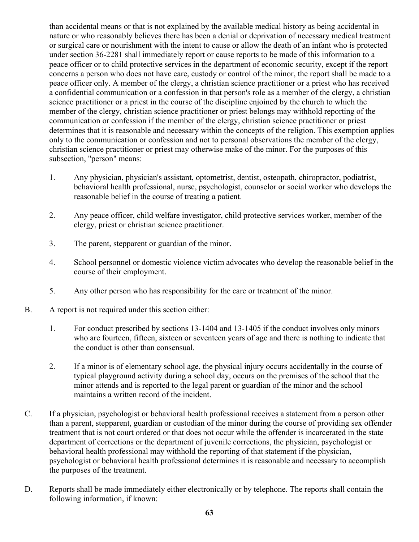than accidental means or that is not explained by the available medical history as being accidental in nature or who reasonably believes there has been a denial or deprivation of necessary medical treatment or surgical care or nourishment with the intent to cause or allow the death of an infant who is protected under section 36-2281 shall immediately report or cause reports to be made of this information to a peace officer or to child protective services in the department of economic security, except if the report concerns a person who does not have care, custody or control of the minor, the report shall be made to a peace officer only. A member of the clergy, a christian science practitioner or a priest who has received a confidential communication or a confession in that person's role as a member of the clergy, a christian science practitioner or a priest in the course of the discipline enjoined by the church to which the member of the clergy, christian science practitioner or priest belongs may withhold reporting of the communication or confession if the member of the clergy, christian science practitioner or priest determines that it is reasonable and necessary within the concepts of the religion. This exemption applies only to the communication or confession and not to personal observations the member of the clergy, christian science practitioner or priest may otherwise make of the minor. For the purposes of this subsection, "person" means:

- 1. Any physician, physician's assistant, optometrist, dentist, osteopath, chiropractor, podiatrist, behavioral health professional, nurse, psychologist, counselor or social worker who develops the reasonable belief in the course of treating a patient.
- 2. Any peace officer, child welfare investigator, child protective services worker, member of the clergy, priest or christian science practitioner.
- 3. The parent, stepparent or guardian of the minor.
- 4. School personnel or domestic violence victim advocates who develop the reasonable belief in the course of their employment.
- 5. Any other person who has responsibility for the care or treatment of the minor.
- B. A report is not required under this section either:
	- 1. For conduct prescribed by sections 13-1404 and 13-1405 if the conduct involves only minors who are fourteen, fifteen, sixteen or seventeen years of age and there is nothing to indicate that the conduct is other than consensual.
	- 2. If a minor is of elementary school age, the physical injury occurs accidentally in the course of typical playground activity during a school day, occurs on the premises of the school that the minor attends and is reported to the legal parent or guardian of the minor and the school maintains a written record of the incident.
- C. If a physician, psychologist or behavioral health professional receives a statement from a person other than a parent, stepparent, guardian or custodian of the minor during the course of providing sex offender treatment that is not court ordered or that does not occur while the offender is incarcerated in the state department of corrections or the department of juvenile corrections, the physician, psychologist or behavioral health professional may withhold the reporting of that statement if the physician, psychologist or behavioral health professional determines it is reasonable and necessary to accomplish the purposes of the treatment.
- D. Reports shall be made immediately either electronically or by telephone. The reports shall contain the following information, if known: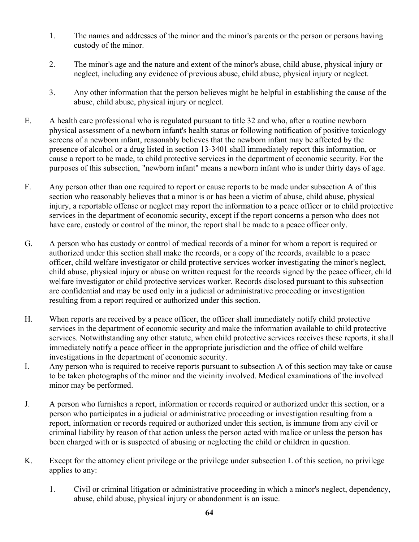- 1. The names and addresses of the minor and the minor's parents or the person or persons having custody of the minor.
- 2. The minor's age and the nature and extent of the minor's abuse, child abuse, physical injury or neglect, including any evidence of previous abuse, child abuse, physical injury or neglect.
- 3. Any other information that the person believes might be helpful in establishing the cause of the abuse, child abuse, physical injury or neglect.
- E. A health care professional who is regulated pursuant to title 32 and who, after a routine newborn physical assessment of a newborn infant's health status or following notification of positive toxicology screens of a newborn infant, reasonably believes that the newborn infant may be affected by the presence of alcohol or a drug listed in section 13-3401 shall immediately report this information, or cause a report to be made, to child protective services in the department of economic security. For the purposes of this subsection, "newborn infant" means a newborn infant who is under thirty days of age.
- F. Any person other than one required to report or cause reports to be made under subsection A of this section who reasonably believes that a minor is or has been a victim of abuse, child abuse, physical injury, a reportable offense or neglect may report the information to a peace officer or to child protective services in the department of economic security, except if the report concerns a person who does not have care, custody or control of the minor, the report shall be made to a peace officer only.
- G. A person who has custody or control of medical records of a minor for whom a report is required or authorized under this section shall make the records, or a copy of the records, available to a peace officer, child welfare investigator or child protective services worker investigating the minor's neglect, child abuse, physical injury or abuse on written request for the records signed by the peace officer, child welfare investigator or child protective services worker. Records disclosed pursuant to this subsection are confidential and may be used only in a judicial or administrative proceeding or investigation resulting from a report required or authorized under this section.
- H. When reports are received by a peace officer, the officer shall immediately notify child protective services in the department of economic security and make the information available to child protective services. Notwithstanding any other statute, when child protective services receives these reports, it shall immediately notify a peace officer in the appropriate jurisdiction and the office of child welfare investigations in the department of economic security.
- I. Any person who is required to receive reports pursuant to subsection A of this section may take or cause to be taken photographs of the minor and the vicinity involved. Medical examinations of the involved minor may be performed.
- J. A person who furnishes a report, information or records required or authorized under this section, or a person who participates in a judicial or administrative proceeding or investigation resulting from a report, information or records required or authorized under this section, is immune from any civil or criminal liability by reason of that action unless the person acted with malice or unless the person has been charged with or is suspected of abusing or neglecting the child or children in question.
- K. Except for the attorney client privilege or the privilege under subsection L of this section, no privilege applies to any:
	- 1. Civil or criminal litigation or administrative proceeding in which a minor's neglect, dependency, abuse, child abuse, physical injury or abandonment is an issue.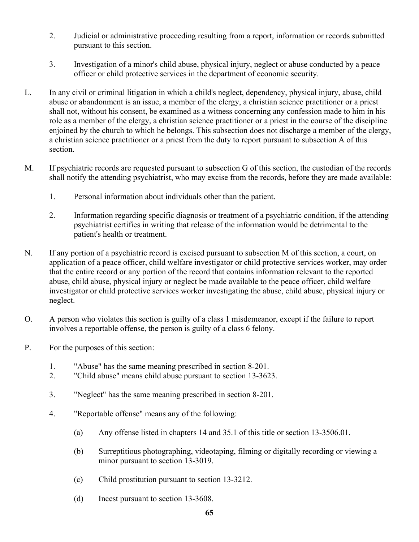- 2. Judicial or administrative proceeding resulting from a report, information or records submitted pursuant to this section.
- 3. Investigation of a minor's child abuse, physical injury, neglect or abuse conducted by a peace officer or child protective services in the department of economic security.
- L. In any civil or criminal litigation in which a child's neglect, dependency, physical injury, abuse, child abuse or abandonment is an issue, a member of the clergy, a christian science practitioner or a priest shall not, without his consent, be examined as a witness concerning any confession made to him in his role as a member of the clergy, a christian science practitioner or a priest in the course of the discipline enjoined by the church to which he belongs. This subsection does not discharge a member of the clergy, a christian science practitioner or a priest from the duty to report pursuant to subsection A of this section.
- M. If psychiatric records are requested pursuant to subsection G of this section, the custodian of the records shall notify the attending psychiatrist, who may excise from the records, before they are made available:
	- 1. Personal information about individuals other than the patient.
	- 2. Information regarding specific diagnosis or treatment of a psychiatric condition, if the attending psychiatrist certifies in writing that release of the information would be detrimental to the patient's health or treatment.
- N. If any portion of a psychiatric record is excised pursuant to subsection M of this section, a court, on application of a peace officer, child welfare investigator or child protective services worker, may order that the entire record or any portion of the record that contains information relevant to the reported abuse, child abuse, physical injury or neglect be made available to the peace officer, child welfare investigator or child protective services worker investigating the abuse, child abuse, physical injury or neglect.
- O. A person who violates this section is guilty of a class 1 misdemeanor, except if the failure to report involves a reportable offense, the person is guilty of a class 6 felony.
- P. For the purposes of this section:
	- 1. "Abuse" has the same meaning prescribed in section 8-201.
	- 2. "Child abuse" means child abuse pursuant to section 13-3623.
	- 3. "Neglect" has the same meaning prescribed in section 8-201.
	- 4. "Reportable offense" means any of the following:
		- (a) Any offense listed in chapters 14 and 35.1 of this title or section 13-3506.01.
		- (b) Surreptitious photographing, videotaping, filming or digitally recording or viewing a minor pursuant to section 13-3019.
		- (c) Child prostitution pursuant to section 13-3212.
		- (d) Incest pursuant to section 13-3608.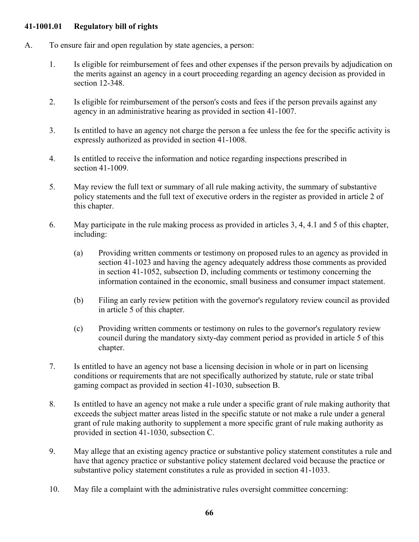#### **41-1001.01 Regulatory bill of rights**

- A. To ensure fair and open regulation by state agencies, a person:
	- 1. Is eligible for reimbursement of fees and other expenses if the person prevails by adjudication on the merits against an agency in a court proceeding regarding an agency decision as provided in section 12-348.
	- 2. Is eligible for reimbursement of the person's costs and fees if the person prevails against any agency in an administrative hearing as provided in section 41-1007.
	- 3. Is entitled to have an agency not charge the person a fee unless the fee for the specific activity is expressly authorized as provided in section 41-1008.
	- 4. Is entitled to receive the information and notice regarding inspections prescribed in section 41-1009.
	- 5. May review the full text or summary of all rule making activity, the summary of substantive policy statements and the full text of executive orders in the register as provided in article 2 of this chapter.
	- 6. May participate in the rule making process as provided in articles 3, 4, 4.1 and 5 of this chapter, including:
		- (a) Providing written comments or testimony on proposed rules to an agency as provided in section 41-1023 and having the agency adequately address those comments as provided in section 41-1052, subsection D, including comments or testimony concerning the information contained in the economic, small business and consumer impact statement.
		- (b) Filing an early review petition with the governor's regulatory review council as provided in article 5 of this chapter.
		- (c) Providing written comments or testimony on rules to the governor's regulatory review council during the mandatory sixty-day comment period as provided in article 5 of this chapter.
	- 7. Is entitled to have an agency not base a licensing decision in whole or in part on licensing conditions or requirements that are not specifically authorized by statute, rule or state tribal gaming compact as provided in section 41-1030, subsection B.
	- 8. Is entitled to have an agency not make a rule under a specific grant of rule making authority that exceeds the subject matter areas listed in the specific statute or not make a rule under a general grant of rule making authority to supplement a more specific grant of rule making authority as provided in section 41-1030, subsection C.
	- 9. May allege that an existing agency practice or substantive policy statement constitutes a rule and have that agency practice or substantive policy statement declared void because the practice or substantive policy statement constitutes a rule as provided in section 41-1033.
	- 10. May file a complaint with the administrative rules oversight committee concerning: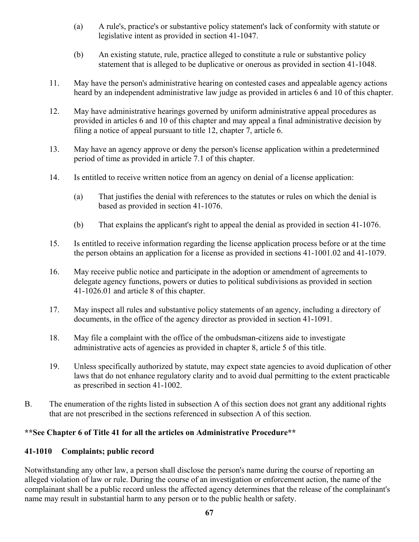- (a) A rule's, practice's or substantive policy statement's lack of conformity with statute or legislative intent as provided in section 41-1047.
- (b) An existing statute, rule, practice alleged to constitute a rule or substantive policy statement that is alleged to be duplicative or onerous as provided in section 41-1048.
- 11. May have the person's administrative hearing on contested cases and appealable agency actions heard by an independent administrative law judge as provided in articles 6 and 10 of this chapter.
- 12. May have administrative hearings governed by uniform administrative appeal procedures as provided in articles 6 and 10 of this chapter and may appeal a final administrative decision by filing a notice of appeal pursuant to title 12, chapter 7, article 6.
- 13. May have an agency approve or deny the person's license application within a predetermined period of time as provided in article 7.1 of this chapter.
- 14. Is entitled to receive written notice from an agency on denial of a license application:
	- (a) That justifies the denial with references to the statutes or rules on which the denial is based as provided in section 41-1076.
	- (b) That explains the applicant's right to appeal the denial as provided in section 41-1076.
- 15. Is entitled to receive information regarding the license application process before or at the time the person obtains an application for a license as provided in sections 41-1001.02 and 41-1079.
- 16. May receive public notice and participate in the adoption or amendment of agreements to delegate agency functions, powers or duties to political subdivisions as provided in section 41-1026.01 and article 8 of this chapter.
- 17. May inspect all rules and substantive policy statements of an agency, including a directory of documents, in the office of the agency director as provided in section 41-1091.
- 18. May file a complaint with the office of the ombudsman-citizens aide to investigate administrative acts of agencies as provided in chapter 8, article 5 of this title.
- 19. Unless specifically authorized by statute, may expect state agencies to avoid duplication of other laws that do not enhance regulatory clarity and to avoid dual permitting to the extent practicable as prescribed in section 41-1002.
- B. The enumeration of the rights listed in subsection A of this section does not grant any additional rights that are not prescribed in the sections referenced in subsection A of this section.

#### **\*\*See Chapter 6 of Title 41 for all the articles on Administrative Procedure\*\***

#### **41-1010 Complaints; public record**

Notwithstanding any other law, a person shall disclose the person's name during the course of reporting an alleged violation of law or rule. During the course of an investigation or enforcement action, the name of the complainant shall be a public record unless the affected agency determines that the release of the complainant's name may result in substantial harm to any person or to the public health or safety.